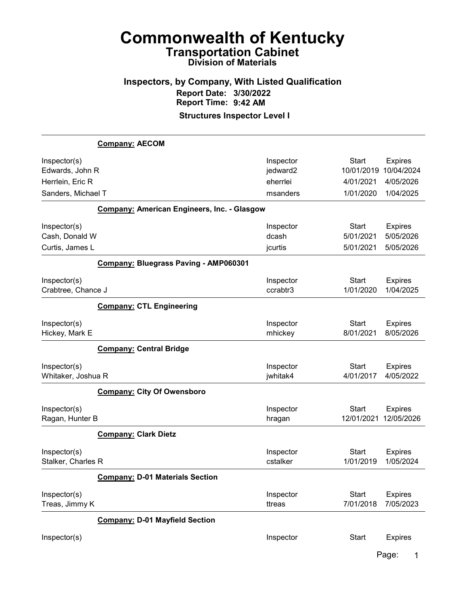# Inspectors, by Company, With Listed Qualification Report Date: 3/30/2022 Report Time: 9:42 AM

Structures Inspector Level I

|                    | <b>Company: AECOM</b>                              |           |              |                |
|--------------------|----------------------------------------------------|-----------|--------------|----------------|
| Inspector(s)       |                                                    | Inspector | <b>Start</b> | <b>Expires</b> |
| Edwards, John R    |                                                    | jedward2  | 10/01/2019   | 10/04/2024     |
| Herrlein, Eric R   |                                                    | eherrlei  | 4/01/2021    | 4/05/2026      |
| Sanders, Michael T |                                                    | msanders  | 1/01/2020    | 1/04/2025      |
|                    | <b>Company: American Engineers, Inc. - Glasgow</b> |           |              |                |
| Inspector(s)       |                                                    | Inspector | <b>Start</b> | <b>Expires</b> |
| Cash, Donald W     |                                                    | dcash     | 5/01/2021    | 5/05/2026      |
| Curtis, James L    |                                                    | jcurtis   | 5/01/2021    | 5/05/2026      |
|                    | Company: Bluegrass Paving - AMP060301              |           |              |                |
| Inspector(s)       |                                                    | Inspector | <b>Start</b> | <b>Expires</b> |
| Crabtree, Chance J |                                                    | ccrabtr3  | 1/01/2020    | 1/04/2025      |
|                    | <b>Company: CTL Engineering</b>                    |           |              |                |
| Inspector(s)       |                                                    | Inspector | <b>Start</b> | <b>Expires</b> |
| Hickey, Mark E     |                                                    | mhickey   | 8/01/2021    | 8/05/2026      |
|                    | <b>Company: Central Bridge</b>                     |           |              |                |
| Inspector(s)       |                                                    | Inspector | <b>Start</b> | <b>Expires</b> |
| Whitaker, Joshua R |                                                    | jwhitak4  | 4/01/2017    | 4/05/2022      |
|                    | <b>Company: City Of Owensboro</b>                  |           |              |                |
| Inspector(s)       |                                                    | Inspector | <b>Start</b> | <b>Expires</b> |
| Ragan, Hunter B    |                                                    | hragan    | 12/01/2021   | 12/05/2026     |
|                    | <b>Company: Clark Dietz</b>                        |           |              |                |
| Inspector(s)       |                                                    | Inspector | <b>Start</b> | <b>Expires</b> |
| Stalker, Charles R |                                                    | cstalker  | 1/01/2019    | 1/05/2024      |
|                    | <b>Company: D-01 Materials Section</b>             |           |              |                |
| Inspector(s)       |                                                    | Inspector | <b>Start</b> | <b>Expires</b> |
| Treas, Jimmy K     |                                                    | ttreas    | 7/01/2018    | 7/05/2023      |
|                    | <b>Company: D-01 Mayfield Section</b>              |           |              |                |
| Inspector(s)       |                                                    | Inspector | <b>Start</b> | <b>Expires</b> |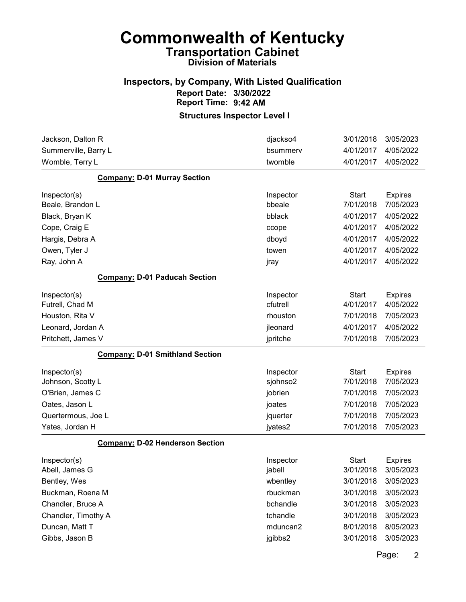#### Inspectors, by Company, With Listed Qualification Report Date: 3/30/2022 Report Time: 9:42 AM

| Jackson, Dalton R                      | djackso4  | 3/01/2018    | 3/05/2023      |
|----------------------------------------|-----------|--------------|----------------|
| Summerville, Barry L                   | bsummerv  | 4/01/2017    | 4/05/2022      |
| Womble, Terry L                        | twomble   | 4/01/2017    | 4/05/2022      |
| <b>Company: D-01 Murray Section</b>    |           |              |                |
| Inspector(s)                           | Inspector | <b>Start</b> | <b>Expires</b> |
| Beale, Brandon L                       | bbeale    | 7/01/2018    | 7/05/2023      |
| Black, Bryan K                         | bblack    | 4/01/2017    | 4/05/2022      |
| Cope, Craig E                          | ccope     | 4/01/2017    | 4/05/2022      |
| Hargis, Debra A                        | dboyd     | 4/01/2017    | 4/05/2022      |
| Owen, Tyler J                          | towen     | 4/01/2017    | 4/05/2022      |
| Ray, John A                            | jray      | 4/01/2017    | 4/05/2022      |
| <b>Company: D-01 Paducah Section</b>   |           |              |                |
| Inspector(s)                           | Inspector | <b>Start</b> | <b>Expires</b> |
| Futrell, Chad M                        | cfutrell  | 4/01/2017    | 4/05/2022      |
| Houston, Rita V                        | rhouston  | 7/01/2018    | 7/05/2023      |
| Leonard, Jordan A                      | jleonard  | 4/01/2017    | 4/05/2022      |
| Pritchett, James V                     | jpritche  | 7/01/2018    | 7/05/2023      |
| <b>Company: D-01 Smithland Section</b> |           |              |                |
| Inspector(s)                           | Inspector | <b>Start</b> | <b>Expires</b> |
| Johnson, Scotty L                      | sjohnso2  | 7/01/2018    | 7/05/2023      |
| O'Brien, James C                       | jobrien   | 7/01/2018    | 7/05/2023      |
| Oates, Jason L                         | joates    | 7/01/2018    | 7/05/2023      |
| Quertermous, Joe L                     | jquerter  | 7/01/2018    | 7/05/2023      |
| Yates, Jordan H                        | jyates2   | 7/01/2018    | 7/05/2023      |
| <b>Company: D-02 Henderson Section</b> |           |              |                |
| Inspector(s)                           | Inspector | <b>Start</b> | <b>Expires</b> |
| Abell, James G                         | jabell    | 3/01/2018    | 3/05/2023      |
| Bentley, Wes                           | wbentley  | 3/01/2018    | 3/05/2023      |
| Buckman, Roena M                       | rbuckman  | 3/01/2018    | 3/05/2023      |
|                                        |           |              |                |
| Chandler, Bruce A                      | bchandle  | 3/01/2018    | 3/05/2023      |
| Chandler, Timothy A                    | tchandle  | 3/01/2018    | 3/05/2023      |
| Duncan, Matt T                         | mduncan2  | 8/01/2018    | 8/05/2023      |
| Gibbs, Jason B                         | jgibbs2   | 3/01/2018    | 3/05/2023      |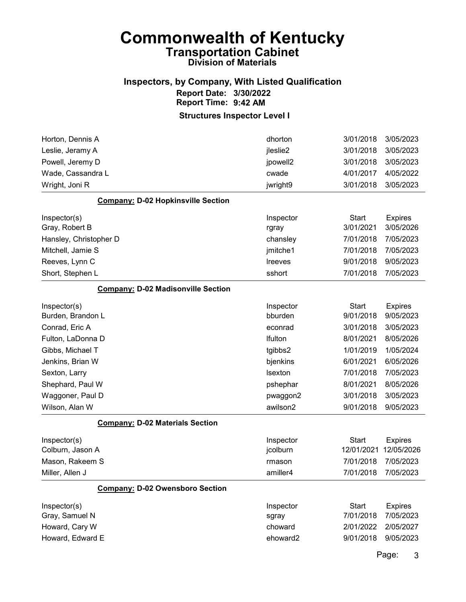#### Inspectors, by Company, With Listed Qualification Report Date: 3/30/2022 Report Time: 9:42 AM

#### Structures Inspector Level I

| Horton, Dennis A                          | dhorton   | 3/01/2018    | 3/05/2023      |
|-------------------------------------------|-----------|--------------|----------------|
| Leslie, Jeramy A                          | jleslie2  | 3/01/2018    | 3/05/2023      |
| Powell, Jeremy D                          | jpowell2  | 3/01/2018    | 3/05/2023      |
| Wade, Cassandra L                         | cwade     | 4/01/2017    | 4/05/2022      |
| Wright, Joni R                            | jwright9  | 3/01/2018    | 3/05/2023      |
| <b>Company: D-02 Hopkinsville Section</b> |           |              |                |
| Inspector(s)                              | Inspector | <b>Start</b> | <b>Expires</b> |
| Gray, Robert B                            | rgray     | 3/01/2021    | 3/05/2026      |
| Hansley, Christopher D                    | chansley  | 7/01/2018    | 7/05/2023      |
| Mitchell, Jamie S                         | jmitche1  | 7/01/2018    | 7/05/2023      |
| Reeves, Lynn C                            | Ireeves   | 9/01/2018    | 9/05/2023      |
| Short, Stephen L                          | sshort    | 7/01/2018    | 7/05/2023      |
| <b>Company: D-02 Madisonville Section</b> |           |              |                |
| Inspector(s)                              | Inspector | <b>Start</b> | <b>Expires</b> |
| Burden, Brandon L                         | bburden   | 9/01/2018    | 9/05/2023      |
| Conrad, Eric A                            | econrad   | 3/01/2018    | 3/05/2023      |
| Fulton, LaDonna D                         | Ifulton   | 8/01/2021    | 8/05/2026      |
| Gibbs, Michael T                          | tgibbs2   | 1/01/2019    | 1/05/2024      |
| Jenkins, Brian W                          | bjenkins  | 6/01/2021    | 6/05/2026      |
| Sexton, Larry                             | Isexton   | 7/01/2018    | 7/05/2023      |
| Shephard, Paul W                          | pshephar  | 8/01/2021    | 8/05/2026      |
| Waggoner, Paul D                          | pwaggon2  | 3/01/2018    | 3/05/2023      |
| Wilson, Alan W                            | awilson2  | 9/01/2018    | 9/05/2023      |
| <b>Company: D-02 Materials Section</b>    |           |              |                |
| Inspector(s)                              | Inspector | <b>Start</b> | <b>Expires</b> |
| Colburn, Jason A                          | jcolburn  | 12/01/2021   | 12/05/2026     |
| Mason, Rakeem S                           | rmason    | 7/01/2018    | 7/05/2023      |
| Miller, Allen J                           | amiller4  | 7/01/2018    | 7/05/2023      |
| <b>Company: D-02 Owensboro Section</b>    |           |              |                |
| Inspector(s)                              | Inspector | <b>Start</b> | <b>Expires</b> |
| Gray, Samuel N                            | sgray     | 7/01/2018    | 7/05/2023      |
| Howard, Cary W                            | choward   | 2/01/2022    | 2/05/2027      |
| Howard, Edward E                          | ehoward2  | 9/01/2018    | 9/05/2023      |
|                                           |           |              |                |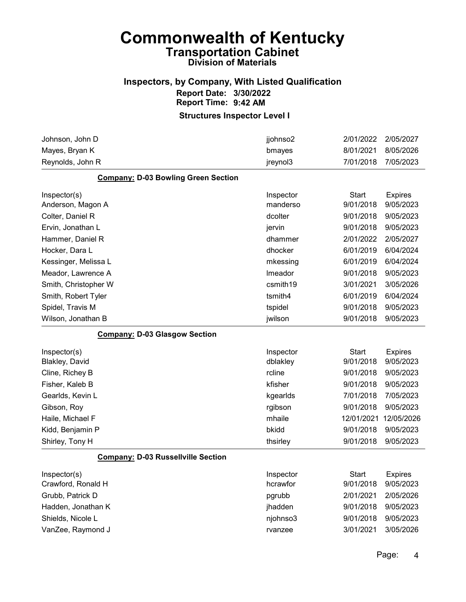#### Inspectors, by Company, With Listed Qualification Report Date: 3/30/2022 Report Time: 9:42 AM

| Johnson, John D                            | jjohnso2  | 2/01/2022    | 2/05/2027      |
|--------------------------------------------|-----------|--------------|----------------|
| Mayes, Bryan K                             | bmayes    | 8/01/2021    | 8/05/2026      |
| Reynolds, John R                           | jreynol3  | 7/01/2018    | 7/05/2023      |
| <b>Company: D-03 Bowling Green Section</b> |           |              |                |
| Inspector(s)                               | Inspector | <b>Start</b> | <b>Expires</b> |
| Anderson, Magon A                          | manderso  | 9/01/2018    | 9/05/2023      |
| Colter, Daniel R                           | dcolter   | 9/01/2018    | 9/05/2023      |
| Ervin, Jonathan L                          | jervin    | 9/01/2018    | 9/05/2023      |
| Hammer, Daniel R                           | dhammer   | 2/01/2022    | 2/05/2027      |
| Hocker, Dara L                             | dhocker   | 6/01/2019    | 6/04/2024      |
| Kessinger, Melissa L                       | mkessing  | 6/01/2019    | 6/04/2024      |
| Meador, Lawrence A                         | Imeador   | 9/01/2018    | 9/05/2023      |
| Smith, Christopher W                       | csmith19  | 3/01/2021    | 3/05/2026      |
| Smith, Robert Tyler                        | tsmith4   | 6/01/2019    | 6/04/2024      |
| Spidel, Travis M                           | tspidel   | 9/01/2018    | 9/05/2023      |
| Wilson, Jonathan B                         | jwilson   | 9/01/2018    | 9/05/2023      |
| <b>Company: D-03 Glasgow Section</b>       |           |              |                |
| Inspector(s)                               | Inspector | <b>Start</b> | <b>Expires</b> |
| <b>Blakley, David</b>                      | dblakley  | 9/01/2018    | 9/05/2023      |
| Cline, Richey B                            | rcline    | 9/01/2018    | 9/05/2023      |
| Fisher, Kaleb B                            | kfisher   | 9/01/2018    | 9/05/2023      |
| Gearlds, Kevin L                           | kgearlds  | 7/01/2018    | 7/05/2023      |
| Gibson, Roy                                | rgibson   | 9/01/2018    | 9/05/2023      |
| Haile, Michael F                           | mhaile    | 12/01/2021   | 12/05/2026     |
| Kidd, Benjamin P                           | bkidd     | 9/01/2018    | 9/05/2023      |
| Shirley, Tony H                            | thsirley  | 9/01/2018    | 9/05/2023      |
| <b>Company: D-03 Russellville Section</b>  |           |              |                |
| Inspector(s)                               | Inspector | Start        | <b>Expires</b> |
| Crawford, Ronald H                         | hcrawfor  | 9/01/2018    | 9/05/2023      |
| Grubb, Patrick D                           | pgrubb    | 2/01/2021    | 2/05/2026      |
| Hadden, Jonathan K                         | jhadden   | 9/01/2018    | 9/05/2023      |
| Shields, Nicole L                          | njohnso3  | 9/01/2018    | 9/05/2023      |
| VanZee, Raymond J                          | rvanzee   | 3/01/2021    | 3/05/2026      |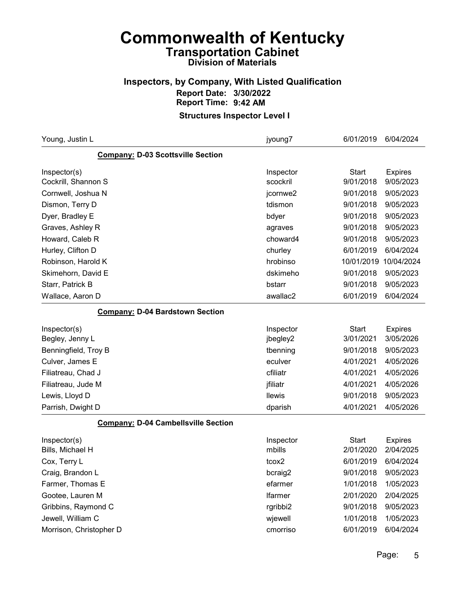### Inspectors, by Company, With Listed Qualification Report Date: 3/30/2022 Report Time: 9:42 AM

| Young, Justin L                            | jyoung7        | 6/01/2019    | 6/04/2024      |
|--------------------------------------------|----------------|--------------|----------------|
| <b>Company: D-03 Scottsville Section</b>   |                |              |                |
| Inspector(s)                               | Inspector      | <b>Start</b> | <b>Expires</b> |
| Cockrill, Shannon S                        | scockril       | 9/01/2018    | 9/05/2023      |
| Cornwell, Joshua N                         | jcornwe2       | 9/01/2018    | 9/05/2023      |
| Dismon, Terry D                            | tdismon        | 9/01/2018    | 9/05/2023      |
| Dyer, Bradley E                            | bdyer          | 9/01/2018    | 9/05/2023      |
| Graves, Ashley R                           | agraves        | 9/01/2018    | 9/05/2023      |
| Howard, Caleb R                            | choward4       | 9/01/2018    | 9/05/2023      |
| Hurley, Clifton D                          | churley        | 6/01/2019    | 6/04/2024      |
| Robinson, Harold K                         | hrobinso       | 10/01/2019   | 10/04/2024     |
| Skimehorn, David E                         | dskimeho       | 9/01/2018    | 9/05/2023      |
| Starr, Patrick B                           | bstarr         | 9/01/2018    | 9/05/2023      |
| Wallace, Aaron D                           | awallac2       | 6/01/2019    | 6/04/2024      |
| <b>Company: D-04 Bardstown Section</b>     |                |              |                |
| Inspector(s)                               | Inspector      | <b>Start</b> | <b>Expires</b> |
| Begley, Jenny L                            | jbegley2       | 3/01/2021    | 3/05/2026      |
| Benningfield, Troy B                       | tbenning       | 9/01/2018    | 9/05/2023      |
| Culver, James E                            | eculver        | 4/01/2021    | 4/05/2026      |
| Filiatreau, Chad J                         | cfiliatr       | 4/01/2021    | 4/05/2026      |
| Filiatreau, Jude M                         | jfiliatr       | 4/01/2021    | 4/05/2026      |
| Lewis, Lloyd D                             | <b>Ilewis</b>  | 9/01/2018    | 9/05/2023      |
| Parrish, Dwight D                          | dparish        | 4/01/2021    | 4/05/2026      |
| <b>Company: D-04 Cambellsville Section</b> |                |              |                |
| Inspector(s)                               | Inspector      | <b>Start</b> | <b>Expires</b> |
| Bills, Michael H                           | mbills         | 2/01/2020    | 2/04/2025      |
| Cox, Terry L                               | tcox2          | 6/01/2019    | 6/04/2024      |
| Craig, Brandon L                           | bcraig2        | 9/01/2018    | 9/05/2023      |
| Farmer, Thomas E                           | efarmer        | 1/01/2018    | 1/05/2023      |
| Gootee, Lauren M                           | <b>Ifarmer</b> | 2/01/2020    | 2/04/2025      |
| Gribbins, Raymond C                        | rgribbi2       | 9/01/2018    | 9/05/2023      |
| Jewell, William C                          | wjewell        | 1/01/2018    | 1/05/2023      |
| Morrison, Christopher D                    | cmorriso       | 6/01/2019    | 6/04/2024      |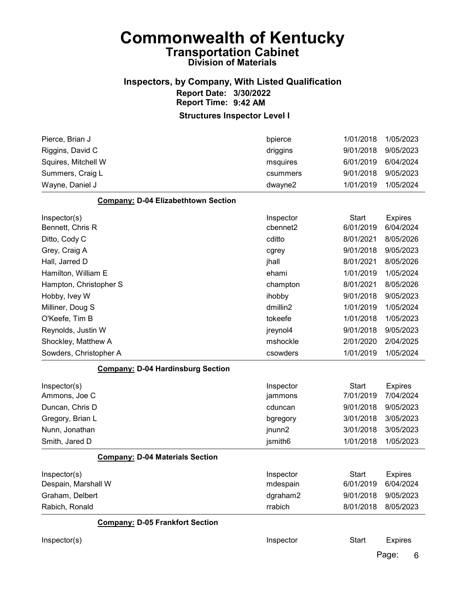### Inspectors, by Company, With Listed Qualification Report Date: 3/30/2022 Report Time: 9:42 AM

#### Structures Inspector Level I

| Pierce, Brian J                            | bpierce   | 1/01/2018    | 1/05/2023      |
|--------------------------------------------|-----------|--------------|----------------|
| Riggins, David C                           | driggins  | 9/01/2018    | 9/05/2023      |
| Squires, Mitchell W                        | msquires  | 6/01/2019    | 6/04/2024      |
| Summers, Craig L                           | csummers  | 9/01/2018    | 9/05/2023      |
| Wayne, Daniel J                            | dwayne2   | 1/01/2019    | 1/05/2024      |
| <b>Company: D-04 Elizabethtown Section</b> |           |              |                |
| Inspector(s)                               | Inspector | <b>Start</b> | <b>Expires</b> |
| Bennett, Chris R                           | cbennet2  | 6/01/2019    | 6/04/2024      |
| Ditto, Cody C                              | cditto    | 8/01/2021    | 8/05/2026      |
| Grey, Craig A                              | cgrey     | 9/01/2018    | 9/05/2023      |
| Hall, Jarred D                             | jhall     | 8/01/2021    | 8/05/2026      |
| Hamilton, William E                        | ehami     | 1/01/2019    | 1/05/2024      |
| Hampton, Christopher S                     | champton  | 8/01/2021    | 8/05/2026      |
| Hobby, Ivey W                              | ihobby    | 9/01/2018    | 9/05/2023      |
| Milliner, Doug S                           | dmillin2  | 1/01/2019    | 1/05/2024      |
| O'Keefe, Tim B                             | tokeefe   | 1/01/2018    | 1/05/2023      |
| Reynolds, Justin W                         | jreynol4  | 9/01/2018    | 9/05/2023      |
| Shockley, Matthew A                        | mshockle  | 2/01/2020    | 2/04/2025      |
| Sowders, Christopher A                     | csowders  | 1/01/2019    | 1/05/2024      |
| <b>Company: D-04 Hardinsburg Section</b>   |           |              |                |
| Inspector(s)                               | Inspector | <b>Start</b> | <b>Expires</b> |
| Ammons, Joe C                              | jammons   | 7/01/2019    | 7/04/2024      |
| Duncan, Chris D                            | cduncan   | 9/01/2018    | 9/05/2023      |
| Gregory, Brian L                           | bgregory  | 3/01/2018    | 3/05/2023      |
| Nunn, Jonathan                             | jnunn2    | 3/01/2018    | 3/05/2023      |
| Smith, Jared D                             | jsmith6   | 1/01/2018    | 1/05/2023      |
| <b>Company: D-04 Materials Section</b>     |           |              |                |
| Inspector(s)                               | Inspector | <b>Start</b> | <b>Expires</b> |
| Despain, Marshall W                        | mdespain  | 6/01/2019    | 6/04/2024      |
| Graham, Delbert                            | dgraham2  | 9/01/2018    | 9/05/2023      |
| Rabich, Ronald                             | rrabich   | 8/01/2018    | 8/05/2023      |
| <b>Company: D-05 Frankfort Section</b>     |           |              |                |
| Inspector(s)                               | Inspector | <b>Start</b> | <b>Expires</b> |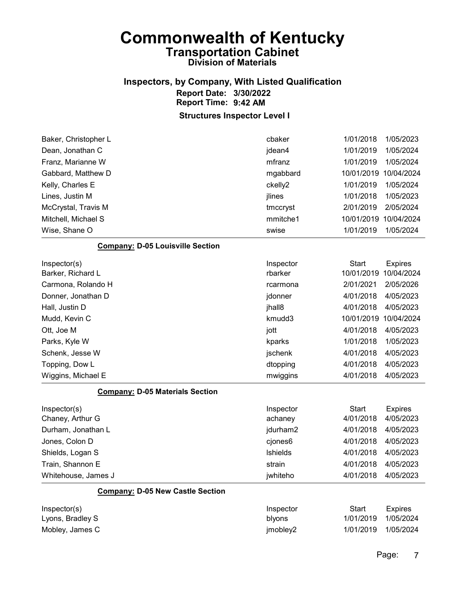## Inspectors, by Company, With Listed Qualification Report Date: 3/30/2022 Report Time: 9:42 AM

| Baker, Christopher L                    | cbaker    | 1/01/2018    | 1/05/2023      |
|-----------------------------------------|-----------|--------------|----------------|
| Dean, Jonathan C                        | jdean4    | 1/01/2019    | 1/05/2024      |
| Franz, Marianne W                       | mfranz    | 1/01/2019    | 1/05/2024      |
| Gabbard, Matthew D                      | mgabbard  | 10/01/2019   | 10/04/2024     |
| Kelly, Charles E                        | ckelly2   | 1/01/2019    | 1/05/2024      |
| Lines, Justin M                         | jlines    | 1/01/2018    | 1/05/2023      |
| McCrystal, Travis M                     | tmccryst  | 2/01/2019    | 2/05/2024      |
| Mitchell, Michael S                     | mmitche1  | 10/01/2019   | 10/04/2024     |
| Wise, Shane O                           | swise     | 1/01/2019    | 1/05/2024      |
| <b>Company: D-05 Louisville Section</b> |           |              |                |
| Inspector(s)                            | Inspector | <b>Start</b> | <b>Expires</b> |
| Barker, Richard L                       | rbarker   | 10/01/2019   | 10/04/2024     |
| Carmona, Rolando H                      | rcarmona  | 2/01/2021    | 2/05/2026      |
| Donner, Jonathan D                      | jdonner   | 4/01/2018    | 4/05/2023      |
| Hall, Justin D                          | jhall8    | 4/01/2018    | 4/05/2023      |
| Mudd, Kevin C                           | kmudd3    | 10/01/2019   | 10/04/2024     |
| Ott, Joe M                              | jott      | 4/01/2018    | 4/05/2023      |
| Parks, Kyle W                           | kparks    | 1/01/2018    | 1/05/2023      |
| Schenk, Jesse W                         | jschenk   | 4/01/2018    | 4/05/2023      |
| Topping, Dow L                          | dtopping  | 4/01/2018    | 4/05/2023      |
| Wiggins, Michael E                      | mwiggins  | 4/01/2018    | 4/05/2023      |
| <b>Company: D-05 Materials Section</b>  |           |              |                |
| Inspector(s)                            | Inspector | <b>Start</b> | <b>Expires</b> |
| Chaney, Arthur G                        | achaney   | 4/01/2018    | 4/05/2023      |
| Durham, Jonathan L                      | jdurham2  | 4/01/2018    | 4/05/2023      |
| Jones, Colon D                          | cjones6   | 4/01/2018    | 4/05/2023      |
| Shields, Logan S                        | Ishields  | 4/01/2018    | 4/05/2023      |
| Train, Shannon E                        | strain    | 4/01/2018    | 4/05/2023      |
| Whitehouse, James J                     | jwhiteho  | 4/01/2018    | 4/05/2023      |
| <b>Company: D-05 New Castle Section</b> |           |              |                |
| Inspector(s)                            | Inspector | <b>Start</b> | <b>Expires</b> |
| Lyons, Bradley S                        | blyons    | 1/01/2019    | 1/05/2024      |
| Mobley, James C                         | jmobley2  | 1/01/2019    | 1/05/2024      |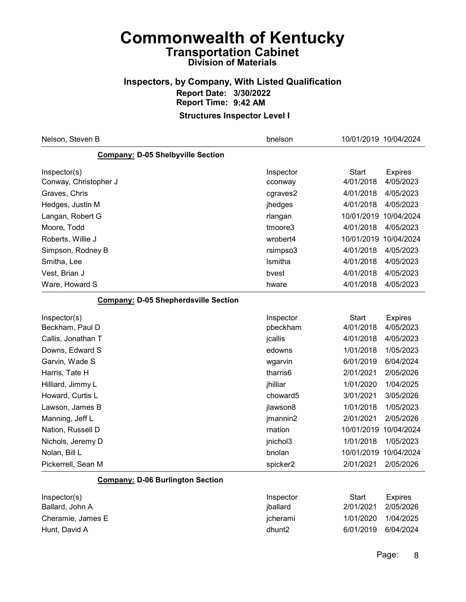### Inspectors, by Company, With Listed Qualification Report Date: 3/30/2022 Report Time: 9:42 AM

| Nelson, Steven B                            | bnelson   | 10/01/2019 10/04/2024 |                |
|---------------------------------------------|-----------|-----------------------|----------------|
| Company: D-05 Shelbyville Section           |           |                       |                |
| Inspector(s)                                | Inspector | <b>Start</b>          | <b>Expires</b> |
| Conway, Christopher J                       | cconway   | 4/01/2018             | 4/05/2023      |
| Graves, Chris                               | cgraves2  | 4/01/2018             | 4/05/2023      |
| Hedges, Justin M                            | jhedges   | 4/01/2018             | 4/05/2023      |
| Langan, Robert G                            | rlangan   | 10/01/2019            | 10/04/2024     |
| Moore, Todd                                 | tmoore3   | 4/01/2018             | 4/05/2023      |
| Roberts, Willie J                           | wrobert4  | 10/01/2019            | 10/04/2024     |
| Simpson, Rodney B                           | rsimpso3  | 4/01/2018             | 4/05/2023      |
| Smitha, Lee                                 | Ismitha   | 4/01/2018             | 4/05/2023      |
| Vest, Brian J                               | bvest     | 4/01/2018             | 4/05/2023      |
| Ware, Howard S                              | hware     | 4/01/2018             | 4/05/2023      |
| <b>Company: D-05 Shepherdsville Section</b> |           |                       |                |
| Inspector(s)                                | Inspector | <b>Start</b>          | <b>Expires</b> |
| Beckham, Paul D                             | pbeckham  | 4/01/2018             | 4/05/2023      |
| Callis, Jonathan T                          | jcallis   | 4/01/2018             | 4/05/2023      |
| Downs, Edward S                             | edowns    | 1/01/2018             | 1/05/2023      |
| Garvin, Wade S                              | wgarvin   | 6/01/2019             | 6/04/2024      |
| Harris, Tate H                              | tharris6  | 2/01/2021             | 2/05/2026      |
| Hilliard, Jimmy L                           | jhilliar  | 1/01/2020             | 1/04/2025      |
| Howard, Curtis L                            | choward5  | 3/01/2021             | 3/05/2026      |
| Lawson, James B                             | jlawson8  | 1/01/2018             | 1/05/2023      |
| Manning, Jeff L                             | jmannin2  | 2/01/2021             | 2/05/2026      |
| Nation, Russell D                           | rnation   | 10/01/2019            | 10/04/2024     |
| Nichols, Jeremy D                           | jnichol3  | 1/01/2018             | 1/05/2023      |
| Nolan, Bill L                               | bnolan    | 10/01/2019            | 10/04/2024     |
| Pickerrell, Sean M                          | spicker2  | 2/01/2021             | 2/05/2026      |
| <b>Company: D-06 Burlington Section</b>     |           |                       |                |
| Inspector(s)                                | Inspector | <b>Start</b>          | <b>Expires</b> |
| Ballard, John A                             | jballard  | 2/01/2021             | 2/05/2026      |
| Cheramie, James E                           | jcherami  | 1/01/2020             | 1/04/2025      |
| Hunt, David A                               | dhunt2    | 6/01/2019             | 6/04/2024      |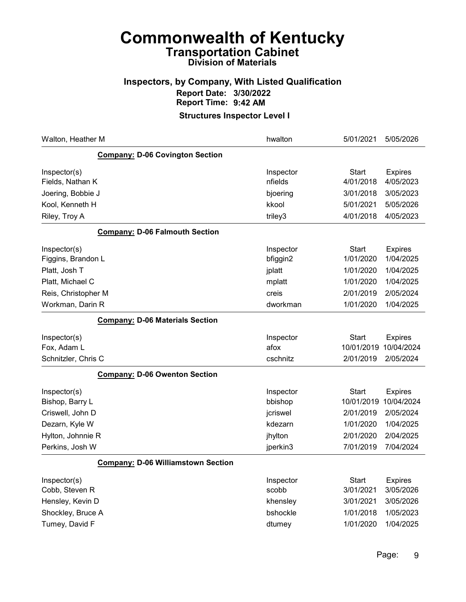### Inspectors, by Company, With Listed Qualification Report Date: 3/30/2022 Report Time: 9:42 AM

| Walton, Heather M                         | hwalton              | 5/01/2021                  | 5/05/2026                    |
|-------------------------------------------|----------------------|----------------------------|------------------------------|
| <b>Company: D-06 Covington Section</b>    |                      |                            |                              |
| Inspector(s)<br>Fields, Nathan K          | Inspector<br>nfields | <b>Start</b><br>4/01/2018  | <b>Expires</b><br>4/05/2023  |
| Joering, Bobbie J                         | bjoering             | 3/01/2018                  | 3/05/2023                    |
| Kool, Kenneth H                           | kkool                | 5/01/2021                  | 5/05/2026                    |
| Riley, Troy A                             | triley3              | 4/01/2018                  | 4/05/2023                    |
| <b>Company: D-06 Falmouth Section</b>     |                      |                            |                              |
| Inspector(s)                              | Inspector            | <b>Start</b><br>1/01/2020  | <b>Expires</b><br>1/04/2025  |
| Figgins, Brandon L                        | bfiggin2             |                            | 1/04/2025                    |
| Platt, Josh T                             | jplatt               | 1/01/2020<br>1/01/2020     | 1/04/2025                    |
| Platt, Michael C                          | mplatt               | 2/01/2019                  | 2/05/2024                    |
| Reis, Christopher M<br>Workman, Darin R   | creis<br>dworkman    | 1/01/2020                  | 1/04/2025                    |
|                                           |                      |                            |                              |
| <b>Company: D-06 Materials Section</b>    |                      |                            |                              |
| Inspector(s)<br>Fox, Adam L               | Inspector<br>afox    | <b>Start</b><br>10/01/2019 | <b>Expires</b><br>10/04/2024 |
| Schnitzler, Chris C                       | cschnitz             | 2/01/2019                  | 2/05/2024                    |
| <b>Company: D-06 Owenton Section</b>      |                      |                            |                              |
| Inspector(s)<br>Bishop, Barry L           | Inspector<br>bbishop | <b>Start</b><br>10/01/2019 | <b>Expires</b><br>10/04/2024 |
| Criswell, John D                          | jcriswel             | 2/01/2019                  | 2/05/2024                    |
| Dezarn, Kyle W                            | kdezarn              | 1/01/2020                  | 1/04/2025                    |
| Hylton, Johnnie R                         | jhylton              | 2/01/2020                  | 2/04/2025                    |
| Perkins, Josh W                           | jperkin3             | 7/01/2019                  | 7/04/2024                    |
| <b>Company: D-06 Williamstown Section</b> |                      |                            |                              |
| Inspector(s)<br>Cobb, Steven R            | Inspector<br>scobb   | <b>Start</b><br>3/01/2021  | <b>Expires</b><br>3/05/2026  |
| Hensley, Kevin D                          | khensley             | 3/01/2021                  | 3/05/2026                    |
| Shockley, Bruce A                         | bshockle             | 1/01/2018                  | 1/05/2023                    |
| Tumey, David F                            | dtumey               | 1/01/2020                  | 1/04/2025                    |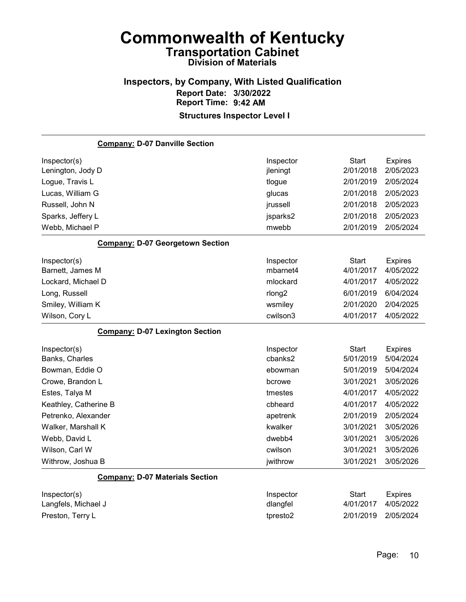#### Inspectors, by Company, With Listed Qualification Report Date: 3/30/2022 Report Time: 9:42 AM Structures Inspector Level I

### Company: D-07 Danville Section Inspector(s) **Inspector** Start Expires Lenington, Jody D jleningt 2/01/2018 2/05/2023 Logue, Travis L **Logue 2/01/2019** 2/05/2024 Lucas, William G glucas 2/01/2018 2/05/2023 Russell, John N jrussell 2/01/2018 2/05/2023 Sparks, Jeffery L jsparks2 2/01/2018 2/05/2023 Webb, Michael P mwebb 2/01/2019 2/05/2024 Company: D-07 Georgetown Section Inspector(s) **Inspector** Start Expires Barnett, James M mbarnet4 4/01/2017 4/05/2022 Lockard, Michael D mlockard 4/01/2017 4/05/2022 Long, Russell rlong2 6/01/2019 6/04/2024 Smiley, William K wsmiley 2/01/2020 2/04/2025 Wilson, Cory L cwilson3 4/01/2017 4/05/2022 Company: D-07 Lexington Section Inspector(s) **Inspector** Start Expires Banks, Charles cbanks2 5/01/2019 5/04/2024 Bowman, Eddie O ebowman 5/01/2019 5/04/2024 Crowe, Brandon L bcrowe 3/01/2021 3/05/2026 Estes, Talya M tmestes 4/01/2017 4/05/2022 Keathley, Catherine B **Community** Communication Communication Communication Communication Communication Communication Communication Communication Communication Communication Communication Communication Communication Commun Petrenko, Alexander apetrenk 2/01/2019 2/05/2024 Walker, Marshall K kwalker 3/01/2021 3/05/2026 Webb, David L dwebb4 3/01/2021 3/05/2026 Wilson, Carl W cwilson 3/01/2021 3/05/2026 Withrow, Joshua B jwithrow 3/01/2021 3/05/2026 Company: D-07 Materials Section Inspector(s) **Inspector** Start Expires Langfels, Michael J dlangfel 4/01/2017 4/05/2022 Preston, Terry L tpresto2 2/01/2019 2/05/2024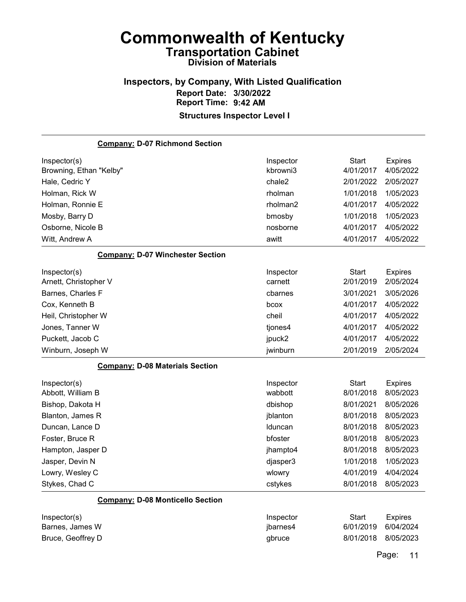#### Inspectors, by Company, With Listed Qualification Report Date: 3/30/2022 Report Time: 9:42 AM Structures Inspector Level I

Company: D-07 Richmond Section Inspector(s) **Inspector** Start Expires Browning, Ethan "Kelby" kbrowni3 4/01/2017 4/05/2022 Hale, Cedric Y chale2 2/01/2022 2/05/2027 Holman, Rick W rholman 1/01/2018 1/05/2023 Holman, Ronnie E rholman2 4/01/2017 4/05/2022 Mosby, Barry D bmosby 1/01/2018 1/05/2023 Osborne, Nicole B nosborne 4/01/2017 4/05/2022 Witt, Andrew A awitt 4/01/2017 4/05/2022 Company: D-07 Winchester Section Inspector(s) **Inspector** Start Expires Arnett, Christopher V carnett 2/01/2019 2/05/2024 Barnes, Charles F cbarnes 3/01/2021 3/05/2026 Cox, Kenneth B bcox 4/01/2017 4/05/2022 Heil, Christopher W cheil 4/01/2017 4/05/2022 Jones, Tanner W tjones4 4/01/2017 4/05/2022 Puckett, Jacob C jpuck2 4/01/2017 4/05/2022 Winburn, Joseph W jwinburn 2/01/2019 2/05/2024 Company: D-08 Materials Section Inspector(s) **Inspector** Start Expires Abbott, William B wabbott 8/01/2018 8/05/2023 Bishop, Dakota H dbishop 8/01/2021 8/05/2026 Blanton, James R jblanton 8/01/2018 8/05/2023 Duncan, Lance D lduncan 8/01/2018 8/05/2023 Foster, Bruce R bfoster 8/01/2018 8/05/2023 Hampton, Jasper D jhampto4 8/01/2018 8/05/2023 Jasper, Devin N djasper3 1/01/2018 1/05/2023 Lowry, Wesley C wlowry 4/01/2019 4/04/2024 Stykes, Chad C cstykes 8/01/2018 8/05/2023 Company: D-08 Monticello Section Inspector(s) **Inspector** Start Expires Barnes, James W jbarnes4 6/01/2019 6/04/2024

Bruce, Geoffrey D gbruce 8/01/2018 8/05/2023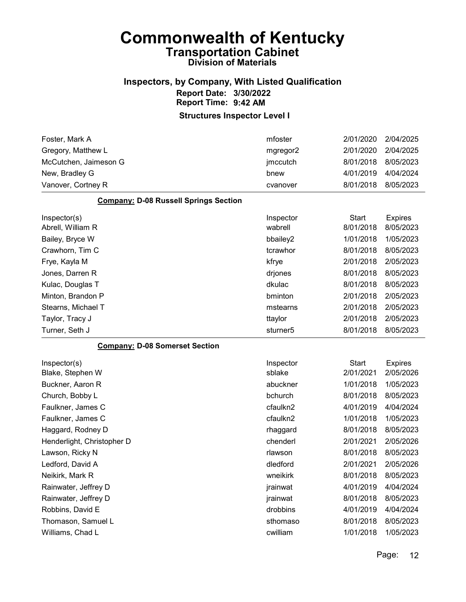#### Inspectors, by Company, With Listed Qualification Report Date: 3/30/2022 Report Time: 9:42 AM

#### Structures Inspector Level I

| Vanover, Cortney R    | cvanover | 8/01/2018 | 8/05/2023 |
|-----------------------|----------|-----------|-----------|
| New, Bradley G        | bnew     | 4/01/2019 | 4/04/2024 |
| McCutchen, Jaimeson G | jmccutch | 8/01/2018 | 8/05/2023 |
| Gregory, Matthew L    | mgregor2 | 2/01/2020 | 2/04/2025 |
| Foster, Mark A        | mfoster  | 2/01/2020 | 2/04/2025 |

#### Company: D-08 Russell Springs Section

| Inspector(s)       | Inspector            | Start     | <b>Expires</b> |
|--------------------|----------------------|-----------|----------------|
| Abrell, William R  | wabrell              | 8/01/2018 | 8/05/2023      |
| Bailey, Bryce W    | bbailey2             | 1/01/2018 | 1/05/2023      |
| Crawhorn, Tim C    | tcrawhor             | 8/01/2018 | 8/05/2023      |
| Frye, Kayla M      | kfrye                | 2/01/2018 | 2/05/2023      |
| Jones, Darren R    | drjones              | 8/01/2018 | 8/05/2023      |
| Kulac, Douglas T   | dkulac               | 8/01/2018 | 8/05/2023      |
| Minton, Brandon P  | bminton              | 2/01/2018 | 2/05/2023      |
| Stearns, Michael T | mstearns             | 2/01/2018 | 2/05/2023      |
| Taylor, Tracy J    | ttaylor              | 2/01/2018 | 2/05/2023      |
| Turner, Seth J     | sturner <sub>5</sub> | 8/01/2018 | 8/05/2023      |

#### Company: D-08 Somerset Section

| Inspector(s)               | Inspector | Start     | <b>Expires</b> |
|----------------------------|-----------|-----------|----------------|
| Blake, Stephen W           | sblake    | 2/01/2021 | 2/05/2026      |
| Buckner, Aaron R           | abuckner  | 1/01/2018 | 1/05/2023      |
| Church, Bobby L            | bchurch   | 8/01/2018 | 8/05/2023      |
| Faulkner, James C          | cfaulkn2  | 4/01/2019 | 4/04/2024      |
| Faulkner, James C          | cfaulkn2  | 1/01/2018 | 1/05/2023      |
| Haggard, Rodney D          | rhaggard  | 8/01/2018 | 8/05/2023      |
| Henderlight, Christopher D | chenderl  | 2/01/2021 | 2/05/2026      |
| Lawson, Ricky N            | rlawson   | 8/01/2018 | 8/05/2023      |
| Ledford, David A           | dledford  | 2/01/2021 | 2/05/2026      |
| Neikirk, Mark R            | wneikirk  | 8/01/2018 | 8/05/2023      |
| Rainwater, Jeffrey D       | jrainwat  | 4/01/2019 | 4/04/2024      |
| Rainwater, Jeffrey D       | jrainwat  | 8/01/2018 | 8/05/2023      |
| Robbins, David E           | drobbins  | 4/01/2019 | 4/04/2024      |
| Thomason, Samuel L         | sthomaso  | 8/01/2018 | 8/05/2023      |
| Williams, Chad L           | cwilliam  | 1/01/2018 | 1/05/2023      |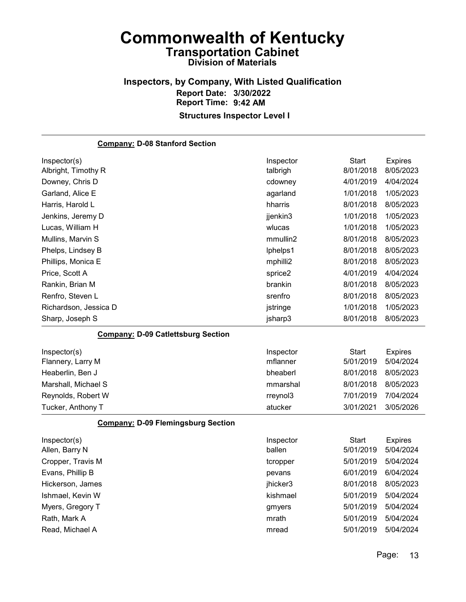#### Inspectors, by Company, With Listed Qualification Report Date: 3/30/2022 Report Time: 9:42 AM Structures Inspector Level I

Company: D-08 Stanford Section Inspector(s) **Inspector** Start Expires Albright, Timothy R talbrigh 8/01/2018 8/05/2023 Downey, Chris D cdowney 4/01/2019 4/04/2024 Garland, Alice E agarland 1/01/2018 1/05/2023 Harris, Harold L hharris 8/01/2018 8/05/2023 Jenkins, Jeremy D jjenkin3 1/01/2018 1/05/2023 Lucas, William H wlucas 1/01/2018 1/05/2023 Mullins, Marvin S mmullin2 8/01/2018 8/05/2023 Phelps, Lindsey B lphelps1 8/01/2018 8/05/2023 Phillips, Monica E **Matter and Transformation** and the mphilli2 and 8/01/2018 8/05/2023 Price, Scott A sprice2 4/01/2019 4/04/2024 Rankin, Brian M brankin 8/01/2018 8/05/2023 Renfro, Steven L **Network** 2005/2023 **Steven L** strengthend **8/01/2018 8/05/2023** Richardson, Jessica D jstringe 1/01/2018 1/05/2023 Sharp, Joseph S **isharp3** 8/01/2018 8/05/2023 Company: D-09 Catlettsburg Section Inspector(s) **Inspector** Start Expires Flannery, Larry M mflanner 5/01/2019 5/04/2024 Heaberlin, Ben J bheaberl 8/01/2018 8/05/2023 Marshall, Michael S mmarshal 8/01/2018 8/05/2023 Reynolds, Robert W rreynol3 7/01/2019 7/04/2024 Tucker, Anthony T atucker 3/01/2021 3/05/2026 Company: D-09 Flemingsburg Section Inspector(s) **Inspector** Start Expires Allen, Barry N ballen 5/01/2019 5/04/2024 Cropper, Travis M tcropper 5/01/2019 5/04/2024 Evans, Phillip B pevans 6/01/2019 6/04/2024 Hickerson, James jhicker3 8/01/2018 8/05/2023 Ishmael, Kevin W kishmael 5/01/2019 5/04/2024 Myers, Gregory T and The Control of Gregory T gmyers and Structure of the Structure of the Structure of Gregory T Rath, Mark A mrath 5/01/2019 5/04/2024 Read, Michael A mread 5/01/2019 5/04/2024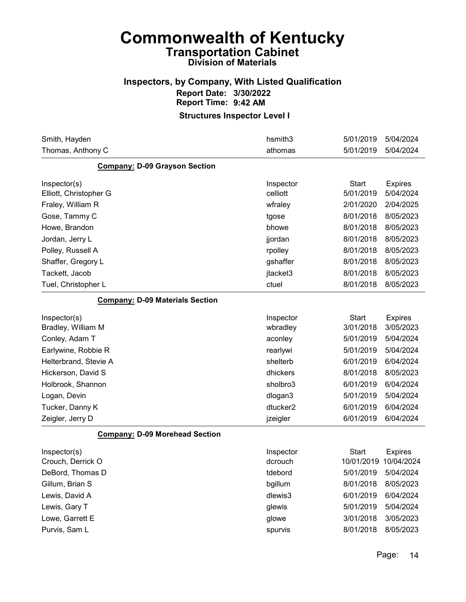#### Inspectors, by Company, With Listed Qualification Report Date: 3/30/2022 Report Time: 9:42 AM

| Smith, Hayden                          | hsmith3   | 5/01/2019             | 5/04/2024      |
|----------------------------------------|-----------|-----------------------|----------------|
| Thomas, Anthony C                      | athomas   | 5/01/2019             | 5/04/2024      |
| <b>Company: D-09 Grayson Section</b>   |           |                       |                |
| Inspector(s)                           | Inspector | <b>Start</b>          | <b>Expires</b> |
| Elliott, Christopher G                 | celliott  | 5/01/2019             | 5/04/2024      |
| Fraley, William R                      | wfraley   | 2/01/2020             | 2/04/2025      |
| Gose, Tammy C                          | tgose     | 8/01/2018             | 8/05/2023      |
| Howe, Brandon                          | bhowe     | 8/01/2018             | 8/05/2023      |
| Jordan, Jerry L                        | jjordan   | 8/01/2018             | 8/05/2023      |
| Polley, Russell A                      | rpolley   | 8/01/2018             | 8/05/2023      |
| Shaffer, Gregory L                     | gshaffer  | 8/01/2018             | 8/05/2023      |
| Tackett, Jacob                         | jtacket3  | 8/01/2018             | 8/05/2023      |
| Tuel, Christopher L                    | ctuel     | 8/01/2018             | 8/05/2023      |
| <b>Company: D-09 Materials Section</b> |           |                       |                |
| Inspector(s)                           | Inspector | <b>Start</b>          | <b>Expires</b> |
| Bradley, William M                     | wbradley  | 3/01/2018             | 3/05/2023      |
| Conley, Adam T                         | aconley   | 5/01/2019             | 5/04/2024      |
| Earlywine, Robbie R                    | rearlywi  | 5/01/2019             | 5/04/2024      |
| Helterbrand, Stevie A                  | shelterb  | 6/01/2019             | 6/04/2024      |
| Hickerson, David S                     | dhickers  | 8/01/2018             | 8/05/2023      |
| Holbrook, Shannon                      | sholbro3  | 6/01/2019             | 6/04/2024      |
| Logan, Devin                           | dlogan3   | 5/01/2019             | 5/04/2024      |
| Tucker, Danny K                        | dtucker2  | 6/01/2019             | 6/04/2024      |
| Zeigler, Jerry D                       | jzeigler  | 6/01/2019             | 6/04/2024      |
| <b>Company: D-09 Morehead Section</b>  |           |                       |                |
| Inspector(s)                           | Inspector | <b>Start</b>          | <b>Expires</b> |
| Crouch, Derrick O                      | dcrouch   | 10/01/2019 10/04/2024 |                |
| DeBord, Thomas D                       | tdebord   | 5/01/2019 5/04/2024   |                |
| Gillum, Brian S                        | bgillum   | 8/01/2018             | 8/05/2023      |
| Lewis, David A                         | dlewis3   | 6/01/2019             | 6/04/2024      |
| Lewis, Gary T                          | glewis    | 5/01/2019             | 5/04/2024      |
| Lowe, Garrett E                        | glowe     | 3/01/2018             | 3/05/2023      |
| Purvis, Sam L                          | spurvis   | 8/01/2018             | 8/05/2023      |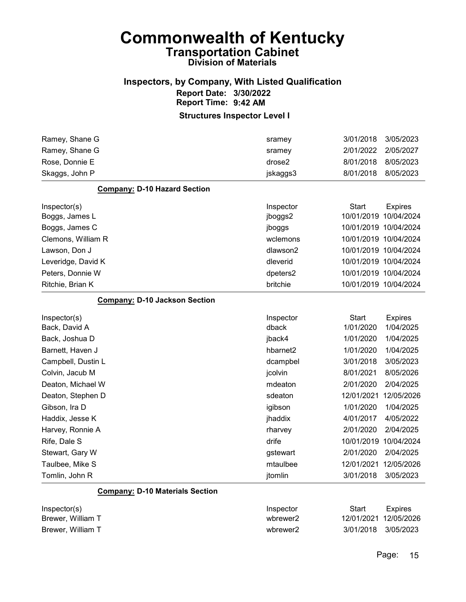#### Inspectors, by Company, With Listed Qualification Report Date: 3/30/2022 Report Time: 9:42 AM

#### Structures Inspector Level I

| Ramey, Shane G                         | sramey               | 3/01/2018             | 3/05/2023             |
|----------------------------------------|----------------------|-----------------------|-----------------------|
| Ramey, Shane G                         | sramey               | 2/01/2022             | 2/05/2027             |
| Rose, Donnie E                         | drose2               | 8/01/2018             | 8/05/2023             |
| Skaggs, John P                         | jskaggs3             | 8/01/2018             | 8/05/2023             |
| <b>Company: D-10 Hazard Section</b>    |                      |                       |                       |
| Inspector(s)                           | Inspector            | Start                 | <b>Expires</b>        |
| Boggs, James L                         | jboggs2              |                       | 10/01/2019 10/04/2024 |
| Boggs, James C                         | jboggs               |                       | 10/01/2019 10/04/2024 |
| Clemons, William R                     | wclemons             |                       | 10/01/2019 10/04/2024 |
| Lawson, Don J                          | dlawson2             |                       | 10/01/2019 10/04/2024 |
| Leveridge, David K                     | dleverid             |                       | 10/01/2019 10/04/2024 |
| Peters, Donnie W                       | dpeters2             |                       | 10/01/2019 10/04/2024 |
| Ritchie, Brian K                       | britchie             |                       | 10/01/2019 10/04/2024 |
| <b>Company: D-10 Jackson Section</b>   |                      |                       |                       |
| Inspector(s)                           | Inspector            | <b>Start</b>          | <b>Expires</b>        |
| Back, David A                          | dback                | 1/01/2020             | 1/04/2025             |
| Back, Joshua D                         | jback4               | 1/01/2020             | 1/04/2025             |
| Barnett, Haven J                       | hbarnet <sub>2</sub> | 1/01/2020             | 1/04/2025             |
| Campbell, Dustin L                     | dcampbel             | 3/01/2018             | 3/05/2023             |
| Colvin, Jacub M                        | jcolvin              | 8/01/2021             | 8/05/2026             |
| Deaton, Michael W                      | mdeaton              | 2/01/2020             | 2/04/2025             |
| Deaton, Stephen D                      | sdeaton              | 12/01/2021            | 12/05/2026            |
| Gibson, Ira D                          | igibson              | 1/01/2020             | 1/04/2025             |
| Haddix, Jesse K                        | jhaddix              | 4/01/2017             | 4/05/2022             |
| Harvey, Ronnie A                       | rharvey              | 2/01/2020             | 2/04/2025             |
| Rife, Dale S                           | drife                | 10/01/2019 10/04/2024 |                       |
| Stewart, Gary W                        | gstewart             | 2/01/2020             | 2/04/2025             |
| Taulbee, Mike S                        | mtaulbee             | 12/01/2021            | 12/05/2026            |
| Tomlin, John R                         | jtomlin              | 3/01/2018             | 3/05/2023             |
| <b>Company: D-10 Materials Section</b> |                      |                       |                       |
| Inspector(s)                           | Inspector            | <b>Start</b>          | <b>Expires</b>        |
| Brewer, William T                      | wbrewer2             | 12/01/2021            | 12/05/2026            |

Brewer, William T wbrewer2 3/01/2018 3/05/2023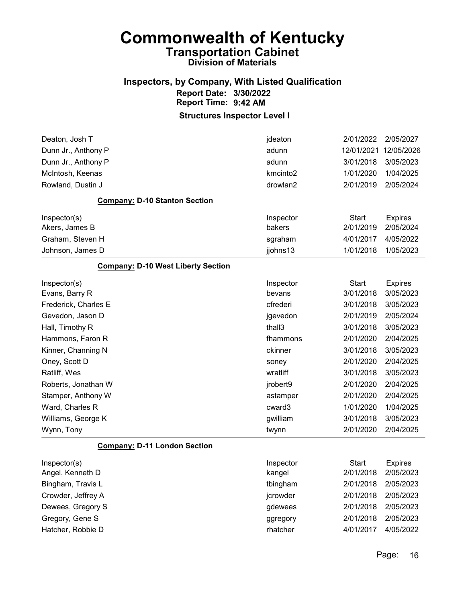### Inspectors, by Company, With Listed Qualification Report Date: 3/30/2022 Report Time: 9:42 AM

| Deaton, Josh T                            | jdeaton              | 2/01/2022    | 2/05/2027      |
|-------------------------------------------|----------------------|--------------|----------------|
| Dunn Jr., Anthony P                       | adunn                | 12/01/2021   | 12/05/2026     |
| Dunn Jr., Anthony P                       | adunn                | 3/01/2018    | 3/05/2023      |
| McIntosh, Keenas                          | kmcinto <sub>2</sub> | 1/01/2020    | 1/04/2025      |
| Rowland, Dustin J                         | drowlan2             | 2/01/2019    | 2/05/2024      |
| <b>Company: D-10 Stanton Section</b>      |                      |              |                |
| Inspector(s)                              | Inspector            | <b>Start</b> | <b>Expires</b> |
| Akers, James B                            | bakers               | 2/01/2019    | 2/05/2024      |
| Graham, Steven H                          | sgraham              | 4/01/2017    | 4/05/2022      |
| Johnson, James D                          | jjohns13             | 1/01/2018    | 1/05/2023      |
| <b>Company: D-10 West Liberty Section</b> |                      |              |                |
| Inspector(s)                              | Inspector            | <b>Start</b> | <b>Expires</b> |
| Evans, Barry R                            | bevans               | 3/01/2018    | 3/05/2023      |
| Frederick, Charles E                      | cfrederi             | 3/01/2018    | 3/05/2023      |
| Gevedon, Jason D                          | jgevedon             | 2/01/2019    | 2/05/2024      |
| Hall, Timothy R                           | thall3               | 3/01/2018    | 3/05/2023      |
| Hammons, Faron R                          | fhammons             | 2/01/2020    | 2/04/2025      |
| Kinner, Channing N                        | ckinner              | 3/01/2018    | 3/05/2023      |
| Oney, Scott D                             | soney                | 2/01/2020    | 2/04/2025      |
| Ratliff, Wes                              | wratliff             | 3/01/2018    | 3/05/2023      |
| Roberts, Jonathan W                       | jrobert9             | 2/01/2020    | 2/04/2025      |
| Stamper, Anthony W                        | astamper             | 2/01/2020    | 2/04/2025      |
| Ward, Charles R                           | cward3               | 1/01/2020    | 1/04/2025      |
| Williams, George K                        | gwilliam             | 3/01/2018    | 3/05/2023      |
| Wynn, Tony                                | twynn                | 2/01/2020    | 2/04/2025      |
| <b>Company: D-11 London Section</b>       |                      |              |                |
| Inspector(s)                              | Inspector            | <b>Start</b> | <b>Expires</b> |
| Angel, Kenneth D                          | kangel               | 2/01/2018    | 2/05/2023      |
| Bingham, Travis L                         | tbingham             | 2/01/2018    | 2/05/2023      |
| Crowder, Jeffrey A                        | jcrowder             | 2/01/2018    | 2/05/2023      |
| Dewees, Gregory S                         | gdewees              | 2/01/2018    | 2/05/2023      |
| Gregory, Gene S                           | ggregory             | 2/01/2018    | 2/05/2023      |
| Hatcher, Robbie D                         | rhatcher             | 4/01/2017    | 4/05/2022      |
|                                           |                      |              |                |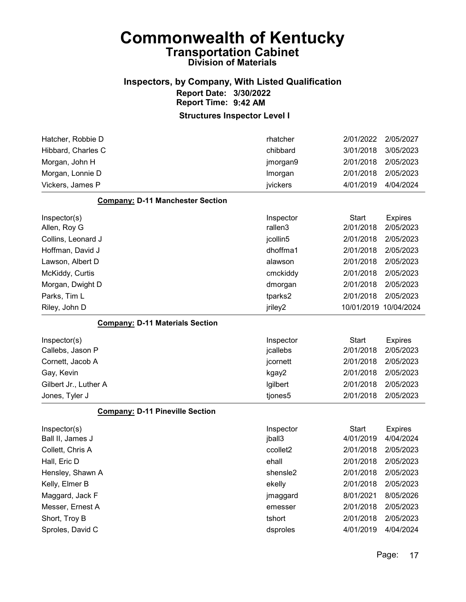#### Inspectors, by Company, With Listed Qualification Report Date: 3/30/2022 Report Time: 9:42 AM

| Hatcher, Robbie D                       | rhatcher             | 2/01/2022             | 2/05/2027      |
|-----------------------------------------|----------------------|-----------------------|----------------|
| Hibbard, Charles C                      | chibbard             | 3/01/2018             | 3/05/2023      |
| Morgan, John H                          | jmorgan9             | 2/01/2018             | 2/05/2023      |
| Morgan, Lonnie D                        | Imorgan              | 2/01/2018             | 2/05/2023      |
| Vickers, James P                        | jvickers             | 4/01/2019             | 4/04/2024      |
| <b>Company: D-11 Manchester Section</b> |                      |                       |                |
| Inspector(s)                            | Inspector            | <b>Start</b>          | <b>Expires</b> |
| Allen, Roy G                            | rallen3              | 2/01/2018             | 2/05/2023      |
| Collins, Leonard J                      | jcollin5             | 2/01/2018             | 2/05/2023      |
| Hoffman, David J                        | dhoffma1             | 2/01/2018             | 2/05/2023      |
| Lawson, Albert D                        | alawson              | 2/01/2018             | 2/05/2023      |
| McKiddy, Curtis                         | cmckiddy             | 2/01/2018             | 2/05/2023      |
| Morgan, Dwight D                        | dmorgan              | 2/01/2018             | 2/05/2023      |
| Parks, Tim L                            | tparks2              | 2/01/2018             | 2/05/2023      |
| Riley, John D                           | jriley2              | 10/01/2019 10/04/2024 |                |
| <b>Company: D-11 Materials Section</b>  |                      |                       |                |
|                                         |                      |                       |                |
| Inspector(s)                            | Inspector            | <b>Start</b>          | <b>Expires</b> |
| Callebs, Jason P                        | jcallebs             | 2/01/2018             | 2/05/2023      |
| Cornett, Jacob A                        | jcornett             | 2/01/2018             | 2/05/2023      |
| Gay, Kevin                              | kgay2                | 2/01/2018             | 2/05/2023      |
| Gilbert Jr., Luther A                   | Igilbert             | 2/01/2018             | 2/05/2023      |
| Jones, Tyler J                          | tjones5              | 2/01/2018             | 2/05/2023      |
| <b>Company: D-11 Pineville Section</b>  |                      |                       |                |
| Inspector(s)                            | Inspector            | <b>Start</b>          | <b>Expires</b> |
| Ball II, James J                        | jball3               | 4/01/2019             | 4/04/2024      |
| Collett, Chris A                        | ccollet2             | 2/01/2018             | 2/05/2023      |
| Hall, Eric D                            | ehall                | 2/01/2018             | 2/05/2023      |
| Hensley, Shawn A                        | shensle <sub>2</sub> | 2/01/2018             | 2/05/2023      |
| Kelly, Elmer B                          | ekelly               | 2/01/2018             | 2/05/2023      |
| Maggard, Jack F                         | jmaggard             | 8/01/2021             | 8/05/2026      |
| Messer, Ernest A                        | emesser              | 2/01/2018             | 2/05/2023      |
| Short, Troy B                           | tshort               | 2/01/2018             | 2/05/2023      |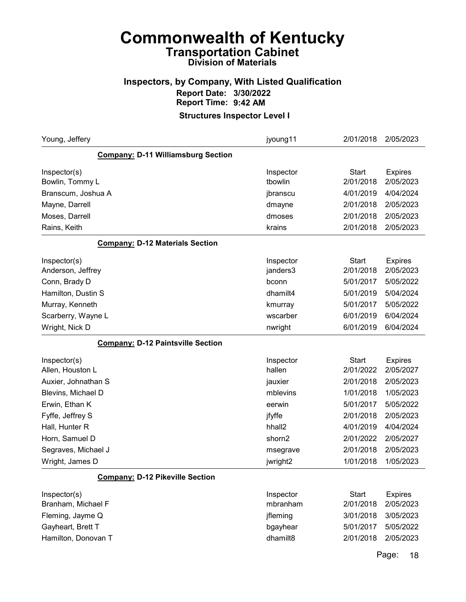### Inspectors, by Company, With Listed Qualification Report Date: 3/30/2022 Report Time: 9:42 AM

#### Structures Inspector Level I

| Young, Jeffery                            | jyoung11           | 2/01/2018    | 2/05/2023      |
|-------------------------------------------|--------------------|--------------|----------------|
| <b>Company: D-11 Williamsburg Section</b> |                    |              |                |
| Inspector(s)                              | Inspector          | <b>Start</b> | <b>Expires</b> |
| Bowlin, Tommy L                           | tbowlin            | 2/01/2018    | 2/05/2023      |
| Branscum, Joshua A                        | jbranscu           | 4/01/2019    | 4/04/2024      |
| Mayne, Darrell                            | dmayne             | 2/01/2018    | 2/05/2023      |
| Moses, Darrell                            | dmoses             | 2/01/2018    | 2/05/2023      |
| Rains, Keith                              | krains             | 2/01/2018    | 2/05/2023      |
| <b>Company: D-12 Materials Section</b>    |                    |              |                |
| Inspector(s)                              | Inspector          | <b>Start</b> | <b>Expires</b> |
| Anderson, Jeffrey                         | janders3           | 2/01/2018    | 2/05/2023      |
| Conn, Brady D                             | bconn              | 5/01/2017    | 5/05/2022      |
| Hamilton, Dustin S                        | dhamilt4           | 5/01/2019    | 5/04/2024      |
| Murray, Kenneth                           | kmurray            | 5/01/2017    | 5/05/2022      |
| Scarberry, Wayne L                        | wscarber           | 6/01/2019    | 6/04/2024      |
| Wright, Nick D                            | nwright            | 6/01/2019    | 6/04/2024      |
| <b>Company: D-12 Paintsville Section</b>  |                    |              |                |
| Inspector(s)                              | Inspector          | <b>Start</b> | <b>Expires</b> |
| Allen, Houston L                          | hallen             | 2/01/2022    | 2/05/2027      |
| Auxier, Johnathan S                       | jauxier            | 2/01/2018    | 2/05/2023      |
| Blevins, Michael D                        | mblevins           | 1/01/2018    | 1/05/2023      |
| Erwin, Ethan K                            | eerwin             | 5/01/2017    | 5/05/2022      |
| Fyffe, Jeffrey S                          | jfyffe             | 2/01/2018    | 2/05/2023      |
| Hall, Hunter R                            | hhall <sub>2</sub> | 4/01/2019    | 4/04/2024      |
| Horn, Samuel D                            | shorn2             | 2/01/2022    | 2/05/2027      |
| Segraves, Michael J                       | msegrave           | 2/01/2018    | 2/05/2023      |
| Wright, James D                           | jwright2           | 1/01/2018    | 1/05/2023      |
| <b>Company: D-12 Pikeville Section</b>    |                    |              |                |
| Inspector(s)                              | Inspector          | <b>Start</b> | <b>Expires</b> |
| Branham, Michael F                        | mbranham           | 2/01/2018    | 2/05/2023      |
| Fleming, Jayme Q                          | jfleming           | 3/01/2018    | 3/05/2023      |
| Gayheart, Brett T                         | bgayhear           | 5/01/2017    | 5/05/2022      |
| Hamilton, Donovan T                       | dhamilt8           | 2/01/2018    | 2/05/2023      |
|                                           |                    |              |                |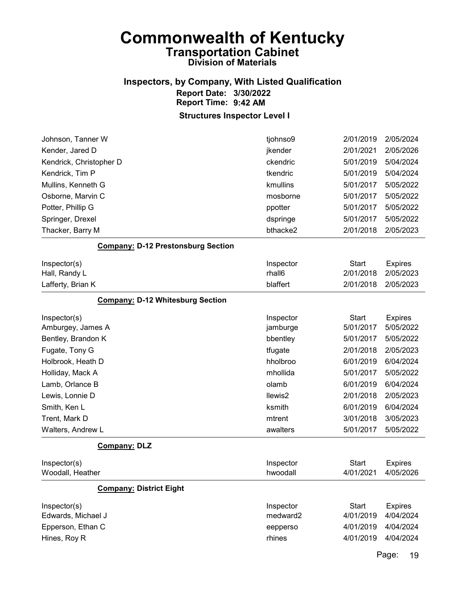### Inspectors, by Company, With Listed Qualification Report Date: 3/30/2022 Report Time: 9:42 AM

| Johnson, Tanner W                         | tjohnso9  | 2/01/2019    | 2/05/2024      |
|-------------------------------------------|-----------|--------------|----------------|
| Kender, Jared D                           | jkender   | 2/01/2021    | 2/05/2026      |
| Kendrick, Christopher D                   | ckendric  | 5/01/2019    | 5/04/2024      |
| Kendrick, Tim P                           | tkendric  | 5/01/2019    | 5/04/2024      |
| Mullins, Kenneth G                        | kmullins  | 5/01/2017    | 5/05/2022      |
| Osborne, Marvin C                         | mosborne  | 5/01/2017    | 5/05/2022      |
| Potter, Phillip G                         | ppotter   | 5/01/2017    | 5/05/2022      |
| Springer, Drexel                          | dspringe  | 5/01/2017    | 5/05/2022      |
| Thacker, Barry M                          | bthacke2  | 2/01/2018    | 2/05/2023      |
| <b>Company: D-12 Prestonsburg Section</b> |           |              |                |
| Inspector(s)                              | Inspector | <b>Start</b> | <b>Expires</b> |
| Hall, Randy L                             | rhall6    | 2/01/2018    | 2/05/2023      |
| Lafferty, Brian K                         | blaffert  | 2/01/2018    | 2/05/2023      |
| <b>Company: D-12 Whitesburg Section</b>   |           |              |                |
| Inspector(s)                              | Inspector | <b>Start</b> | <b>Expires</b> |
| Amburgey, James A                         | jamburge  | 5/01/2017    | 5/05/2022      |
| Bentley, Brandon K                        | bbentley  | 5/01/2017    | 5/05/2022      |
| Fugate, Tony G                            | tfugate   | 2/01/2018    | 2/05/2023      |
| Holbrook, Heath D                         | hholbroo  | 6/01/2019    | 6/04/2024      |
| Holliday, Mack A                          | mhollida  | 5/01/2017    | 5/05/2022      |
| Lamb, Orlance B                           | olamb     | 6/01/2019    | 6/04/2024      |
| Lewis, Lonnie D                           | llewis2   | 2/01/2018    | 2/05/2023      |
| Smith, Ken L                              | ksmith    | 6/01/2019    | 6/04/2024      |
| Trent, Mark D                             | mtrent    | 3/01/2018    | 3/05/2023      |
| Walters, Andrew L                         | awalters  | 5/01/2017    | 5/05/2022      |
| <b>Company: DLZ</b>                       |           |              |                |
| Inspector(s)                              | Inspector | <b>Start</b> | <b>Expires</b> |
| Woodall, Heather                          | hwoodall  | 4/01/2021    | 4/05/2026      |
| <b>Company: District Eight</b>            |           |              |                |
| Inspector(s)                              | Inspector | <b>Start</b> | <b>Expires</b> |
| Edwards, Michael J                        | medward2  | 4/01/2019    | 4/04/2024      |
| Epperson, Ethan C                         | eepperso  | 4/01/2019    | 4/04/2024      |
| Hines, Roy R                              | rhines    | 4/01/2019    | 4/04/2024      |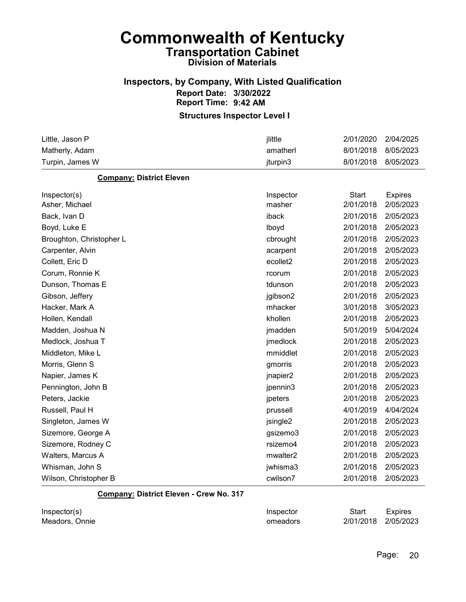#### Inspectors, by Company, With Listed Qualification Report Date: 3/30/2022 Report Time: 9:42 AM

#### Structures Inspector Level I

| Little, Jason P                 | jlittle              | 2/01/2020    | 2/04/2025      |
|---------------------------------|----------------------|--------------|----------------|
| Matherly, Adam                  | amatherl             | 8/01/2018    | 8/05/2023      |
| Turpin, James W                 | jturpin3             | 8/01/2018    | 8/05/2023      |
| <b>Company: District Eleven</b> |                      |              |                |
| Inspector(s)                    | Inspector            | <b>Start</b> | <b>Expires</b> |
| Asher, Michael                  | masher               | 2/01/2018    | 2/05/2023      |
| Back, Ivan D                    | iback                | 2/01/2018    | 2/05/2023      |
| Boyd, Luke E                    | lboyd                | 2/01/2018    | 2/05/2023      |
| Broughton, Christopher L        | cbrought             | 2/01/2018    | 2/05/2023      |
| Carpenter, Alvin                | acarpent             | 2/01/2018    | 2/05/2023      |
| Collett, Eric D                 | ecollet2             | 2/01/2018    | 2/05/2023      |
| Corum, Ronnie K                 | rcorum               | 2/01/2018    | 2/05/2023      |
| Dunson, Thomas E                | tdunson              | 2/01/2018    | 2/05/2023      |
| Gibson, Jeffery                 | jgibson2             | 2/01/2018    | 2/05/2023      |
| Hacker, Mark A                  | mhacker              | 3/01/2018    | 3/05/2023      |
| Hollen, Kendall                 | khollen              | 2/01/2018    | 2/05/2023      |
| Madden, Joshua N                | jmadden              | 5/01/2019    | 5/04/2024      |
| Medlock, Joshua T               | jmedlock             | 2/01/2018    | 2/05/2023      |
| Middleton, Mike L               | mmiddlet             | 2/01/2018    | 2/05/2023      |
| Morris, Glenn S                 | gmorris              | 2/01/2018    | 2/05/2023      |
| Napier, James K                 | jnapier2             | 2/01/2018    | 2/05/2023      |
| Pennington, John B              | jpennin3             | 2/01/2018    | 2/05/2023      |
| Peters, Jackie                  | jpeters              | 2/01/2018    | 2/05/2023      |
| Russell, Paul H                 | prussell             | 4/01/2019    | 4/04/2024      |
| Singleton, James W              | jsingle2             | 2/01/2018    | 2/05/2023      |
| Sizemore, George A              | gsizemo3             | 2/01/2018    | 2/05/2023      |
| Sizemore, Rodney C              | rsizemo4             | 2/01/2018    | 2/05/2023      |
| Walters, Marcus A               | mwalter <sub>2</sub> | 2/01/2018    | 2/05/2023      |
| Whisman, John S                 | jwhisma3             | 2/01/2018    | 2/05/2023      |
| Wilson, Christopher B           | cwilson7             | 2/01/2018    | 2/05/2023      |

#### Company: District Eleven - Crew No. 317

| Inspector(s)   | Inspector | Start               | Expires |
|----------------|-----------|---------------------|---------|
| Meadors, Onnie | omeadors  | 2/01/2018 2/05/2023 |         |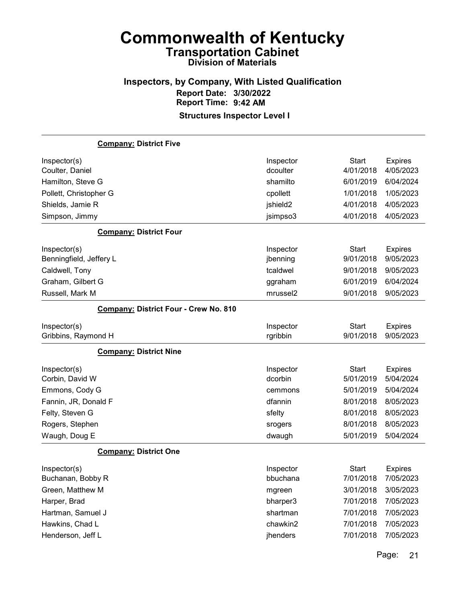# Inspectors, by Company, With Listed Qualification Report Date: 3/30/2022 Report Time: 9:42 AM

| <b>Company: District Five</b>                |                      |              |                |
|----------------------------------------------|----------------------|--------------|----------------|
| Inspector(s)                                 | Inspector            | <b>Start</b> | <b>Expires</b> |
| Coulter, Daniel                              | dcoulter             | 4/01/2018    | 4/05/2023      |
| Hamilton, Steve G                            | shamilto             | 6/01/2019    | 6/04/2024      |
| Pollett, Christopher G                       | cpollett             | 1/01/2018    | 1/05/2023      |
| Shields, Jamie R                             | jshield2             | 4/01/2018    | 4/05/2023      |
| Simpson, Jimmy                               | jsimpso3             | 4/01/2018    | 4/05/2023      |
| <b>Company: District Four</b>                |                      |              |                |
| Inspector(s)                                 | Inspector            | <b>Start</b> | <b>Expires</b> |
| Benningfield, Jeffery L                      | jbenning             | 9/01/2018    | 9/05/2023      |
| Caldwell, Tony                               | tcaldwel             | 9/01/2018    | 9/05/2023      |
| Graham, Gilbert G                            | ggraham              | 6/01/2019    | 6/04/2024      |
| Russell, Mark M                              | mrussel <sub>2</sub> | 9/01/2018    | 9/05/2023      |
| <b>Company: District Four - Crew No. 810</b> |                      |              |                |
| Inspector(s)                                 | Inspector            | <b>Start</b> | <b>Expires</b> |
| Gribbins, Raymond H                          | rgribbin             | 9/01/2018    | 9/05/2023      |
| <b>Company: District Nine</b>                |                      |              |                |
| Inspector(s)                                 | Inspector            | <b>Start</b> | <b>Expires</b> |
| Corbin, David W                              | dcorbin              | 5/01/2019    | 5/04/2024      |
| Emmons, Cody G                               | cemmons              | 5/01/2019    | 5/04/2024      |
| Fannin, JR, Donald F                         | dfannin              | 8/01/2018    | 8/05/2023      |
| Felty, Steven G                              | sfelty               | 8/01/2018    | 8/05/2023      |
| Rogers, Stephen                              | srogers              | 8/01/2018    | 8/05/2023      |
| Waugh, Doug E                                | dwaugh               | 5/01/2019    | 5/04/2024      |
| <b>Company: District One</b>                 |                      |              |                |
| Inspector(s)                                 | Inspector            | <b>Start</b> | <b>Expires</b> |
| Buchanan, Bobby R                            | bbuchana             | 7/01/2018    | 7/05/2023      |
| Green, Matthew M                             | mgreen               | 3/01/2018    | 3/05/2023      |
| Harper, Brad                                 | bharper3             | 7/01/2018    | 7/05/2023      |
| Hartman, Samuel J                            | shartman             | 7/01/2018    | 7/05/2023      |
| Hawkins, Chad L                              | chawkin2             | 7/01/2018    | 7/05/2023      |
| Henderson, Jeff L                            | jhenders             | 7/01/2018    | 7/05/2023      |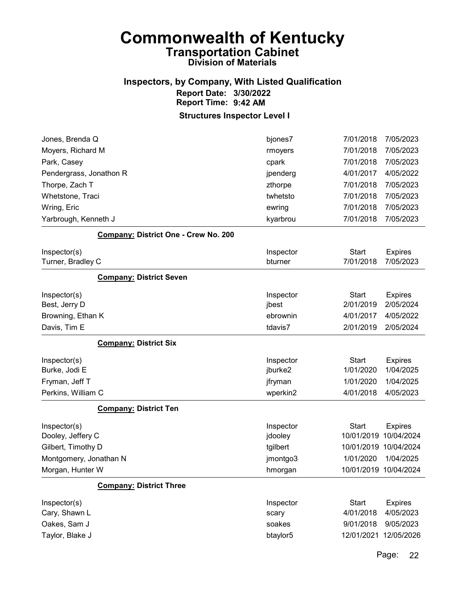#### Inspectors, by Company, With Listed Qualification Report Date: 3/30/2022 Report Time: 9:42 AM

Structures Inspector Level I

| Jones, Brenda Q                      | bjones7   | 7/01/2018             | 7/05/2023      |
|--------------------------------------|-----------|-----------------------|----------------|
| Moyers, Richard M                    | rmoyers   | 7/01/2018             | 7/05/2023      |
| Park, Casey                          | cpark     | 7/01/2018             | 7/05/2023      |
| Pendergrass, Jonathon R              | jpenderg  | 4/01/2017             | 4/05/2022      |
| Thorpe, Zach T                       | zthorpe   | 7/01/2018             | 7/05/2023      |
| Whetstone, Traci                     | twhetsto  | 7/01/2018             | 7/05/2023      |
| Wring, Eric                          | ewring    | 7/01/2018             | 7/05/2023      |
| Yarbrough, Kenneth J                 | kyarbrou  | 7/01/2018             | 7/05/2023      |
| Company: District One - Crew No. 200 |           |                       |                |
| Inspector(s)                         | Inspector | Start                 | <b>Expires</b> |
| Turner, Bradley C                    | bturner   | 7/01/2018             | 7/05/2023      |
| <b>Company: District Seven</b>       |           |                       |                |
| Inspector(s)                         | Inspector | Start                 | <b>Expires</b> |
| Best, Jerry D                        | jbest     | 2/01/2019             | 2/05/2024      |
| Browning, Ethan K                    | ebrownin  | 4/01/2017             | 4/05/2022      |
| Davis, Tim E                         | tdavis7   | 2/01/2019             | 2/05/2024      |
| <b>Company: District Six</b>         |           |                       |                |
| Inspector(s)                         | Inspector | <b>Start</b>          | <b>Expires</b> |
| Burke, Jodi E                        | jburke2   | 1/01/2020             | 1/04/2025      |
| Fryman, Jeff T                       | jfryman   | 1/01/2020             | 1/04/2025      |
| Perkins, William C                   | wperkin2  | 4/01/2018             | 4/05/2023      |
| <b>Company: District Ten</b>         |           |                       |                |
| Inspector(s)                         | Inspector | <b>Start</b>          | <b>Expires</b> |
| Dooley, Jeffery C                    | jdooley   | 10/01/2019            | 10/04/2024     |
| Gilbert, Timothy D                   | tgilbert  | 10/01/2019 10/04/2024 |                |
| Montgomery, Jonathan N               | jmontgo3  | 1/01/2020             | 1/04/2025      |
| Morgan, Hunter W                     | hmorgan   | 10/01/2019 10/04/2024 |                |
| <b>Company: District Three</b>       |           |                       |                |
| Inspector(s)                         | Inspector | <b>Start</b>          | <b>Expires</b> |
| Cary, Shawn L                        | scary     | 4/01/2018             | 4/05/2023      |
| Oakes, Sam J                         | soakes    | 9/01/2018             | 9/05/2023      |
| Taylor, Blake J                      | btaylor5  | 12/01/2021            | 12/05/2026     |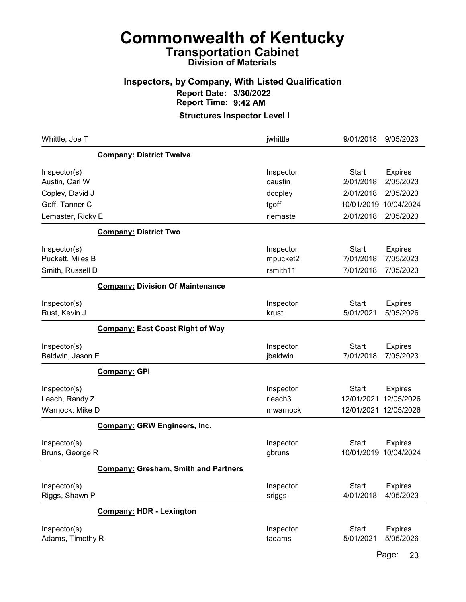### Inspectors, by Company, With Listed Qualification Report Date: 3/30/2022 Report Time: 9:42 AM

Structures Inspector Level I

| Whittle, Joe T                   |                                             | jwhittle              | 9/01/2018                 | 9/05/2023                   |
|----------------------------------|---------------------------------------------|-----------------------|---------------------------|-----------------------------|
|                                  | <b>Company: District Twelve</b>             |                       |                           |                             |
| Inspector(s)<br>Austin, Carl W   |                                             | Inspector<br>caustin  | <b>Start</b><br>2/01/2018 | <b>Expires</b><br>2/05/2023 |
| Copley, David J                  |                                             | dcopley               | 2/01/2018                 | 2/05/2023                   |
| Goff, Tanner C                   |                                             | tgoff                 | 10/01/2019                | 10/04/2024                  |
| Lemaster, Ricky E                |                                             | rlemaste              | 2/01/2018                 | 2/05/2023                   |
|                                  | <b>Company: District Two</b>                |                       |                           |                             |
| Inspector(s)                     |                                             | Inspector             | <b>Start</b>              | <b>Expires</b>              |
| Puckett, Miles B                 |                                             | mpucket2              | 7/01/2018                 | 7/05/2023                   |
| Smith, Russell D                 |                                             | rsmith11              | 7/01/2018                 | 7/05/2023                   |
|                                  | <b>Company: Division Of Maintenance</b>     |                       |                           |                             |
| Inspector(s)                     |                                             | Inspector             | <b>Start</b>              | <b>Expires</b>              |
| Rust, Kevin J                    |                                             | krust                 | 5/01/2021                 | 5/05/2026                   |
|                                  | <b>Company: East Coast Right of Way</b>     |                       |                           |                             |
| Inspector(s)<br>Baldwin, Jason E |                                             | Inspector<br>jbaldwin | <b>Start</b><br>7/01/2018 | <b>Expires</b><br>7/05/2023 |
|                                  | <b>Company: GPI</b>                         |                       |                           |                             |
| Inspector(s)                     |                                             | Inspector             | <b>Start</b>              | <b>Expires</b>              |
| Leach, Randy Z                   |                                             | rleach <sub>3</sub>   | 12/01/2021                | 12/05/2026                  |
| Warnock, Mike D                  |                                             | mwarnock              |                           | 12/01/2021 12/05/2026       |
|                                  | <b>Company: GRW Engineers, Inc.</b>         |                       |                           |                             |
| Inspector(s)                     |                                             | Inspector             | <b>Start</b>              | <b>Expires</b>              |
| Bruns, George R                  |                                             | gbruns                | 10/01/2019                | 10/04/2024                  |
|                                  | <b>Company: Gresham, Smith and Partners</b> |                       |                           |                             |
| Inspector(s)                     |                                             | Inspector             | <b>Start</b>              | <b>Expires</b>              |
| Riggs, Shawn P                   |                                             | sriggs                | 4/01/2018                 | 4/05/2023                   |
|                                  | <b>Company: HDR - Lexington</b>             |                       |                           |                             |
| Inspector(s)                     |                                             | Inspector             | <b>Start</b>              | <b>Expires</b>              |
| Adams, Timothy R                 |                                             | tadams                | 5/01/2021                 | 5/05/2026                   |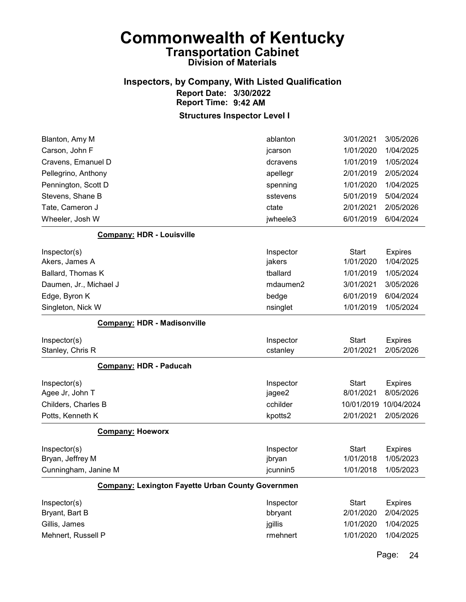#### Inspectors, by Company, With Listed Qualification Report Date: 3/30/2022 Report Time: 9:42 AM

Structures Inspector Level I

| Blanton, Amy M                                           | ablanton  | 3/01/2021    | 3/05/2026      |
|----------------------------------------------------------|-----------|--------------|----------------|
| Carson, John F                                           | jcarson   | 1/01/2020    | 1/04/2025      |
| Cravens, Emanuel D                                       | dcravens  | 1/01/2019    | 1/05/2024      |
| Pellegrino, Anthony                                      | apellegr  | 2/01/2019    | 2/05/2024      |
| Pennington, Scott D                                      | spenning  | 1/01/2020    | 1/04/2025      |
| Stevens, Shane B                                         | sstevens  | 5/01/2019    | 5/04/2024      |
| Tate, Cameron J                                          | ctate     | 2/01/2021    | 2/05/2026      |
| Wheeler, Josh W                                          | jwheele3  | 6/01/2019    | 6/04/2024      |
| <b>Company: HDR - Louisville</b>                         |           |              |                |
| Inspector(s)                                             | Inspector | <b>Start</b> | <b>Expires</b> |
| Akers, James A                                           | jakers    | 1/01/2020    | 1/04/2025      |
| Ballard, Thomas K                                        | tballard  | 1/01/2019    | 1/05/2024      |
| Daumen, Jr., Michael J                                   | mdaumen2  | 3/01/2021    | 3/05/2026      |
| Edge, Byron K                                            | bedge     | 6/01/2019    | 6/04/2024      |
| Singleton, Nick W                                        | nsinglet  | 1/01/2019    | 1/05/2024      |
| <b>Company: HDR - Madisonville</b>                       |           |              |                |
|                                                          |           |              |                |
| Inspector(s)                                             | Inspector | <b>Start</b> | <b>Expires</b> |
| Stanley, Chris R                                         | cstanley  | 2/01/2021    | 2/05/2026      |
| <b>Company: HDR - Paducah</b>                            |           |              |                |
| Inspector(s)                                             | Inspector | <b>Start</b> | <b>Expires</b> |
| Agee Jr, John T                                          | jagee2    | 8/01/2021    | 8/05/2026      |
| Childers, Charles B                                      | cchilder  | 10/01/2019   | 10/04/2024     |
| Potts, Kenneth K                                         | kpotts2   | 2/01/2021    | 2/05/2026      |
| <b>Company: Hoeworx</b>                                  |           |              |                |
| Inspector(s)                                             | Inspector | <b>Start</b> | <b>Expires</b> |
| Bryan, Jeffrey M                                         | jbryan    | 1/01/2018    | 1/05/2023      |
| Cunningham, Janine M                                     | jcunnin5  | 1/01/2018    | 1/05/2023      |
| <b>Company: Lexington Fayette Urban County Governmen</b> |           |              |                |
| Inspector(s)                                             | Inspector | Start        | <b>Expires</b> |
| Bryant, Bart B                                           | bbryant   | 2/01/2020    | 2/04/2025      |
| Gillis, James                                            | jgillis   | 1/01/2020    | 1/04/2025      |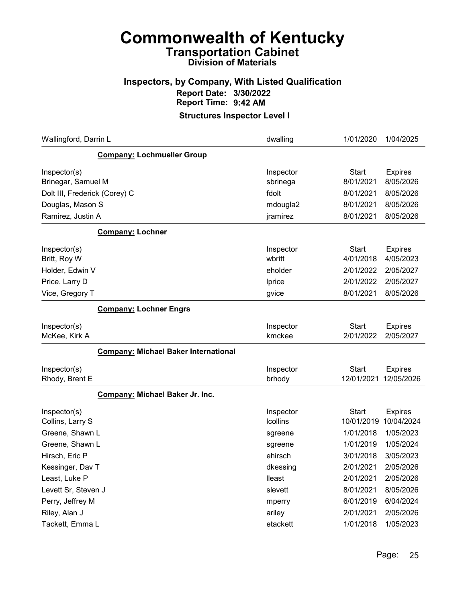### Inspectors, by Company, With Listed Qualification Report Date: 3/30/2022 Report Time: 9:42 AM

| Wallingford, Darrin L                       | dwalling        | 1/01/2020    | 1/04/2025      |
|---------------------------------------------|-----------------|--------------|----------------|
| <b>Company: Lochmueller Group</b>           |                 |              |                |
| Inspector(s)                                | Inspector       | <b>Start</b> | <b>Expires</b> |
| Brinegar, Samuel M                          | sbrinega        | 8/01/2021    | 8/05/2026      |
| Dolt III, Frederick (Corey) C               | fdolt           | 8/01/2021    | 8/05/2026      |
| Douglas, Mason S                            | mdougla2        | 8/01/2021    | 8/05/2026      |
| Ramirez, Justin A                           | jramirez        | 8/01/2021    | 8/05/2026      |
| <b>Company: Lochner</b>                     |                 |              |                |
| Inspector(s)                                | Inspector       | Start        | <b>Expires</b> |
| Britt, Roy W                                | wbritt          | 4/01/2018    | 4/05/2023      |
| Holder, Edwin V                             | eholder         | 2/01/2022    | 2/05/2027      |
| Price, Larry D                              | Iprice          | 2/01/2022    | 2/05/2027      |
| Vice, Gregory T                             | gvice           | 8/01/2021    | 8/05/2026      |
| <b>Company: Lochner Engrs</b>               |                 |              |                |
| Inspector(s)                                | Inspector       | <b>Start</b> | <b>Expires</b> |
| McKee, Kirk A                               | kmckee          | 2/01/2022    | 2/05/2027      |
| <b>Company: Michael Baker International</b> |                 |              |                |
| Inspector(s)                                | Inspector       | Start        | <b>Expires</b> |
| Rhody, Brent E                              | brhody          | 12/01/2021   | 12/05/2026     |
| Company: Michael Baker Jr. Inc.             |                 |              |                |
| Inspector(s)                                | Inspector       | <b>Start</b> | <b>Expires</b> |
| Collins, Larry S                            | <b>Icollins</b> | 10/01/2019   | 10/04/2024     |
| Greene, Shawn L                             | sgreene         | 1/01/2018    | 1/05/2023      |
| Greene, Shawn L                             | sgreene         | 1/01/2019    | 1/05/2024      |
| Hirsch, Eric P                              | ehirsch         | 3/01/2018    | 3/05/2023      |
| Kessinger, Dav T                            | dkessing        | 2/01/2021    | 2/05/2026      |
| Least, Luke P                               | lleast          | 2/01/2021    | 2/05/2026      |
| Levett Sr, Steven J                         | slevett         | 8/01/2021    | 8/05/2026      |
| Perry, Jeffrey M                            | mperry          | 6/01/2019    | 6/04/2024      |
| Riley, Alan J                               | ariley          | 2/01/2021    | 2/05/2026      |
| Tackett, Emma L                             | etackett        | 1/01/2018    | 1/05/2023      |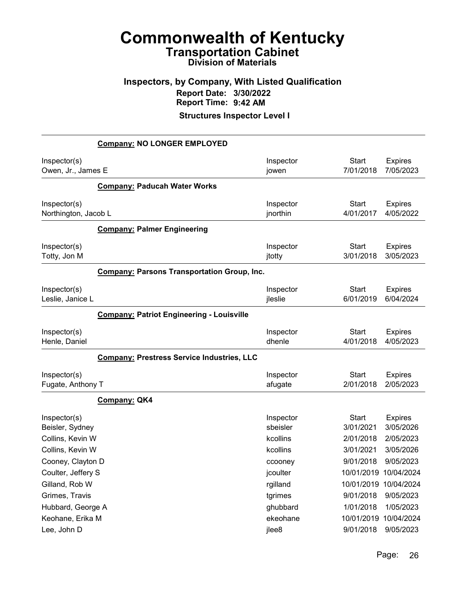### Inspectors, by Company, With Listed Qualification Report Date: 3/30/2022 Report Time: 9:42 AM

|                                      | <b>Company: NO LONGER EMPLOYED</b>                 |                       |                           |                             |
|--------------------------------------|----------------------------------------------------|-----------------------|---------------------------|-----------------------------|
| Inspector(s)<br>Owen, Jr., James E   |                                                    | Inspector<br>jowen    | <b>Start</b><br>7/01/2018 | <b>Expires</b><br>7/05/2023 |
|                                      | <b>Company: Paducah Water Works</b>                |                       |                           |                             |
| Inspector(s)<br>Northington, Jacob L |                                                    | Inspector<br>jnorthin | <b>Start</b><br>4/01/2017 | <b>Expires</b><br>4/05/2022 |
|                                      | <b>Company: Palmer Engineering</b>                 |                       |                           |                             |
| Inspector(s)<br>Totty, Jon M         |                                                    | Inspector<br>jtotty   | <b>Start</b><br>3/01/2018 | <b>Expires</b><br>3/05/2023 |
|                                      | <b>Company: Parsons Transportation Group, Inc.</b> |                       |                           |                             |
| Inspector(s)<br>Leslie, Janice L     |                                                    | Inspector<br>jleslie  | <b>Start</b><br>6/01/2019 | <b>Expires</b><br>6/04/2024 |
|                                      | <b>Company: Patriot Engineering - Louisville</b>   |                       |                           |                             |
| Inspector(s)<br>Henle, Daniel        |                                                    | Inspector<br>dhenle   | <b>Start</b><br>4/01/2018 | <b>Expires</b><br>4/05/2023 |
|                                      | Company: Prestress Service Industries, LLC         |                       |                           |                             |
| Inspector(s)<br>Fugate, Anthony T    |                                                    | Inspector<br>afugate  | <b>Start</b><br>2/01/2018 | <b>Expires</b><br>2/05/2023 |
|                                      | Company: QK4                                       |                       |                           |                             |
| Inspector(s)<br>Beisler, Sydney      |                                                    | Inspector<br>sbeisler | <b>Start</b><br>3/01/2021 | <b>Expires</b><br>3/05/2026 |
| Collins, Kevin W                     |                                                    | kcollins              | 2/01/2018                 | 2/05/2023                   |
| Collins, Kevin W                     |                                                    | kcollins              | 3/01/2021                 | 3/05/2026                   |
| Cooney, Clayton D                    |                                                    | ccooney               | 9/01/2018                 | 9/05/2023                   |
| Coulter, Jeffery S                   |                                                    | jcoulter              | 10/01/2019 10/04/2024     |                             |
| Gilland, Rob W                       |                                                    | rgilland              | 10/01/2019 10/04/2024     |                             |
| Grimes, Travis                       |                                                    | tgrimes               | 9/01/2018                 | 9/05/2023                   |
| Hubbard, George A                    |                                                    | ghubbard              | 1/01/2018                 | 1/05/2023                   |
| Keohane, Erika M                     |                                                    | ekeohane              | 10/01/2019                | 10/04/2024                  |
| Lee, John D                          |                                                    | jlee8                 | 9/01/2018                 | 9/05/2023                   |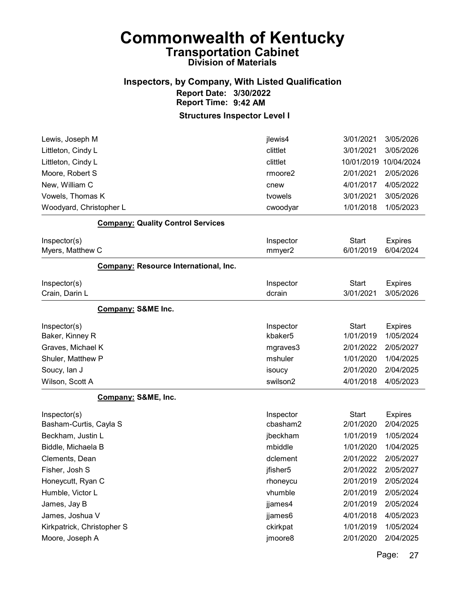### Inspectors, by Company, With Listed Qualification Report Date: 3/30/2022 Report Time: 9:42 AM

Structures Inspector Level I

| jlewis4               | 3/01/2021                 | 3/05/2026                   |
|-----------------------|---------------------------|-----------------------------|
| clittlet              | 3/01/2021                 | 3/05/2026                   |
| clittlet              | 10/01/2019                | 10/04/2024                  |
| rmoore2               | 2/01/2021                 | 2/05/2026                   |
| cnew                  | 4/01/2017                 | 4/05/2022                   |
| tvowels               | 3/01/2021                 | 3/05/2026                   |
| cwoodyar              | 1/01/2018                 | 1/05/2023                   |
|                       |                           |                             |
| Inspector             | <b>Start</b>              | <b>Expires</b>              |
| mmyer2                | 6/01/2019                 | 6/04/2024                   |
|                       |                           |                             |
| Inspector             | <b>Start</b>              | <b>Expires</b>              |
| dcrain                | 3/01/2021                 | 3/05/2026                   |
|                       |                           |                             |
| Inspector             | <b>Start</b>              | <b>Expires</b>              |
| kbaker5               | 1/01/2019                 | 1/05/2024                   |
| mgraves3              | 2/01/2022                 | 2/05/2027                   |
| mshuler               | 1/01/2020                 | 1/04/2025                   |
| isoucy                | 2/01/2020                 | 2/04/2025                   |
| swilson2              | 4/01/2018                 | 4/05/2023                   |
|                       |                           |                             |
| Inspector<br>cbasham2 | <b>Start</b><br>2/01/2020 | <b>Expires</b><br>2/04/2025 |
| jbeckham              | 1/01/2019                 | 1/05/2024                   |
| mbiddle               | 1/01/2020                 | 1/04/2025                   |
| dclement              | 2/01/2022                 | 2/05/2027                   |
| jfisher5              | 2/01/2022                 | 2/05/2027                   |
| rhoneycu              | 2/01/2019                 | 2/05/2024                   |
| vhumble               | 2/01/2019                 | 2/05/2024                   |
| jjames4               | 2/01/2019                 | 2/05/2024                   |
| jjames6               | 4/01/2018                 | 4/05/2023                   |
| ckirkpat              | 1/01/2019                 | 1/05/2024                   |
| jmoore8               | 2/01/2020                 | 2/04/2025                   |
|                       |                           |                             |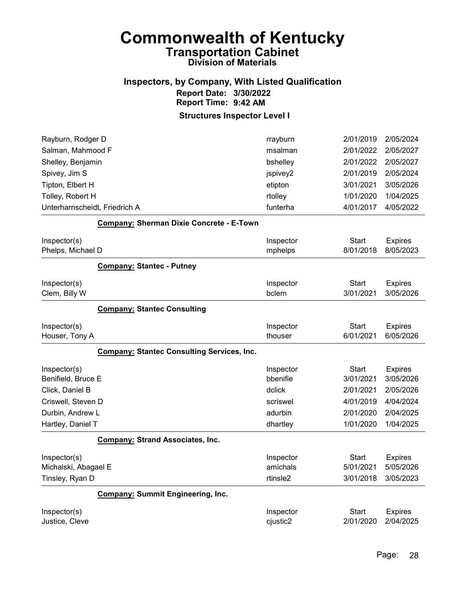#### Inspectors, by Company, With Listed Qualification Report Date: 3/30/2022 Report Time: 9:42 AM

| Rayburn, Rodger D<br>Salman, Mahmood F            | rrayburn<br>msalman | 2/01/2019<br>2/01/2022 | 2/05/2024<br>2/05/2027 |
|---------------------------------------------------|---------------------|------------------------|------------------------|
| Shelley, Benjamin                                 | bshelley            | 2/01/2022              | 2/05/2027              |
| Spivey, Jim S                                     | jspivey2            | 2/01/2019              | 2/05/2024              |
| Tipton, Elbert H                                  | etipton             | 3/01/2021              | 3/05/2026              |
| Tolley, Robert H                                  | rtolley             | 1/01/2020              | 1/04/2025              |
| Unterharnscheidt, Friedrich A                     | funterha            | 4/01/2017              | 4/05/2022              |
| Company: Sherman Dixie Concrete - E-Town          |                     |                        |                        |
| Inspector(s)                                      | Inspector           | <b>Start</b>           | <b>Expires</b>         |
| Phelps, Michael D                                 | mphelps             | 8/01/2018              | 8/05/2023              |
| <b>Company: Stantec - Putney</b>                  |                     |                        |                        |
| Inspector(s)                                      | Inspector           | <b>Start</b>           | <b>Expires</b>         |
| Clem, Billy W                                     | bclem               | 3/01/2021              | 3/05/2026              |
| <b>Company: Stantec Consulting</b>                |                     |                        |                        |
| Inspector(s)                                      | Inspector           | <b>Start</b>           | <b>Expires</b>         |
| Houser, Tony A                                    | thouser             | 6/01/2021              | 6/05/2026              |
| <b>Company: Stantec Consulting Services, Inc.</b> |                     |                        |                        |
| Inspector(s)                                      | Inspector           | <b>Start</b>           | <b>Expires</b>         |
| Benifield, Bruce E                                | bbenifie            | 3/01/2021              | 3/05/2026              |
| Click, Daniel B                                   | dclick              | 2/01/2021              | 2/05/2026              |
| Criswell, Steven D                                | scriswel            | 4/01/2019              | 4/04/2024              |
| Durbin, Andrew L                                  | adurbin             | 2/01/2020              | 2/04/2025              |
| Hartley, Daniel T                                 | dhartley            | 1/01/2020              | 1/04/2025              |
| <b>Company: Strand Associates, Inc.</b>           |                     |                        |                        |
| Inspector(s)                                      | Inspector           | <b>Start</b>           | <b>Expires</b>         |
| Michalski, Abagael E                              | amichals            | 5/01/2021              | 5/05/2026              |
| Tinsley, Ryan D                                   | rtinsle2            | 3/01/2018              | 3/05/2023              |
| <b>Company: Summit Engineering, Inc.</b>          |                     |                        |                        |
| Inspector(s)                                      | Inspector           | <b>Start</b>           | <b>Expires</b>         |
| Justice, Cleve                                    | cjustic2            | 2/01/2020              | 2/04/2025              |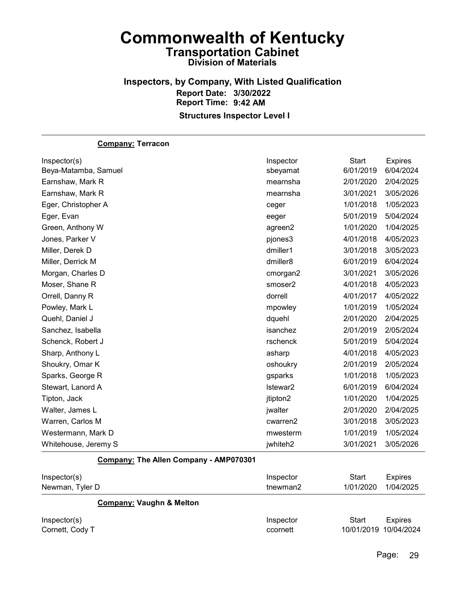#### Inspectors, by Company, With Listed Qualification Report Date: 3/30/2022 Report Time: 9:42 AM Structures Inspector Level I

#### Company: Terracon

| Inspector(s)         | Inspector | <b>Start</b> | <b>Expires</b> |
|----------------------|-----------|--------------|----------------|
| Beya-Matamba, Samuel | sbeyamat  | 6/01/2019    | 6/04/2024      |
| Earnshaw, Mark R     | mearnsha  | 2/01/2020    | 2/04/2025      |
| Earnshaw, Mark R     | mearnsha  | 3/01/2021    | 3/05/2026      |
| Eger, Christopher A  | ceger     | 1/01/2018    | 1/05/2023      |
| Eger, Evan           | eeger     | 5/01/2019    | 5/04/2024      |
| Green, Anthony W     | agreen2   | 1/01/2020    | 1/04/2025      |
| Jones, Parker V      | pjones3   | 4/01/2018    | 4/05/2023      |
| Miller, Derek D      | dmiller1  | 3/01/2018    | 3/05/2023      |
| Miller, Derrick M    | dmiller8  | 6/01/2019    | 6/04/2024      |
| Morgan, Charles D    | cmorgan2  | 3/01/2021    | 3/05/2026      |
| Moser, Shane R       | smoser2   | 4/01/2018    | 4/05/2023      |
| Orrell, Danny R      | dorrell   | 4/01/2017    | 4/05/2022      |
| Powley, Mark L       | mpowley   | 1/01/2019    | 1/05/2024      |
| Quehl, Daniel J      | dquehl    | 2/01/2020    | 2/04/2025      |
| Sanchez, Isabella    | isanchez  | 2/01/2019    | 2/05/2024      |
| Schenck, Robert J    | rschenck  | 5/01/2019    | 5/04/2024      |
| Sharp, Anthony L     | asharp    | 4/01/2018    | 4/05/2023      |
| Shoukry, Omar K      | oshoukry  | 2/01/2019    | 2/05/2024      |
| Sparks, George R     | gsparks   | 1/01/2018    | 1/05/2023      |
| Stewart, Lanord A    | Istewar2  | 6/01/2019    | 6/04/2024      |
| Tipton, Jack         | jtipton2  | 1/01/2020    | 1/04/2025      |
| Walter, James L      | jwalter   | 2/01/2020    | 2/04/2025      |
| Warren, Carlos M     | cwarren2  | 3/01/2018    | 3/05/2023      |
| Westermann, Mark D   | mwesterm  | 1/01/2019    | 1/05/2024      |
| Whitehouse, Jeremy S | jwhiteh2  | 3/01/2021    | 3/05/2026      |

#### Company: The Allen Company - AMP070301

| Inspector(s)<br>Newman, Tyler D     | Inspector<br>tnewman2 | Start<br>Expires<br>1/04/2025<br>1/01/2020 |
|-------------------------------------|-----------------------|--------------------------------------------|
| <b>Company: Vaughn &amp; Melton</b> |                       |                                            |
| Inspector(s)                        | Inspector             | Start<br><b>Expires</b>                    |
| Cornett, Cody T                     | ccornett              | 10/01/2019 10/04/2024                      |